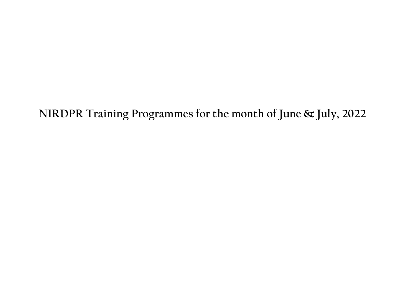**NIRDPR Training Programmes for the month of June & July, 2022**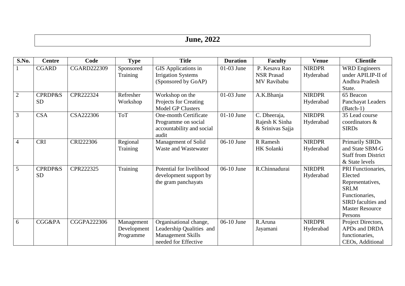# **June, 2022**

| S.No.          | <b>Centre</b>      | Code               | <b>Type</b> | <b>Title</b>               | <b>Duration</b> | <b>Faculty</b>    | <b>Venue</b>  | <b>Clientile</b>                |
|----------------|--------------------|--------------------|-------------|----------------------------|-----------------|-------------------|---------------|---------------------------------|
|                | <b>CGARD</b>       | <b>CGARD222309</b> | Sponsored   | <b>GIS</b> Applications in | $01-03$ June    | P. Kesava Rao     | <b>NIRDPR</b> | <b>WRD</b> Engineers            |
|                |                    |                    | Training    | <b>Irrigation Systems</b>  |                 | <b>NSR Prasad</b> | Hyderabad     | under APILIP-II of              |
|                |                    |                    |             | (Sponsored by GoAP)        |                 | MV Ravibabu       |               | Andhra Pradesh                  |
|                |                    |                    |             |                            |                 |                   |               | State.                          |
| $\overline{2}$ | <b>CPRDP&amp;S</b> | CPR222324          | Refresher   | Workshop on the            | $01-03$ June    | A.K.Bhanja        | <b>NIRDPR</b> | 65 Beacon                       |
|                | <b>SD</b>          |                    | Workshop    | Projects for Creating      |                 |                   | Hyderabad     | Panchayat Leaders               |
|                |                    |                    |             | <b>Model GP Clusters</b>   |                 |                   |               | $(Batch-1)$                     |
| 3              | <b>CSA</b>         | CSA222306          | <b>ToT</b>  | One-month Certificate      | $01-10$ June    | C. Dheeraja,      | <b>NIRDPR</b> | 35 Lead course                  |
|                |                    |                    |             | Programme on social        |                 | Rajesh K Sinha    | Hyderabad     | coordinators &                  |
|                |                    |                    |             | accountability and social  |                 | & Srinivas Sajja  |               | <b>SIRDs</b>                    |
|                |                    |                    |             | audit                      |                 |                   |               |                                 |
| $\overline{4}$ | <b>CRI</b>         | CRI222306          | Regional    | Management of Solid        | 06-10 June      | R Ramesh          | <b>NIRDPR</b> | <b>Primarily SIRDs</b>          |
|                |                    |                    | Training    | Waste and Wastewater       |                 | HK Solanki        | Hyderabad     | and State SBM-G                 |
|                |                    |                    |             |                            |                 |                   |               | <b>Staff from District</b>      |
|                |                    |                    |             |                            |                 |                   |               | & State levels                  |
| 5              | <b>CPRDP&amp;S</b> | CPR222325          | Training    | Potential for livelihood   | $06-10$ June    | R.Chinnadurai     | <b>NIRDPR</b> | PRI Functionaries.              |
|                | <b>SD</b>          |                    |             | development support by     |                 |                   | Hyderabad     | Elected                         |
|                |                    |                    |             | the gram panchayats        |                 |                   |               | Representatives,<br><b>SRLM</b> |
|                |                    |                    |             |                            |                 |                   |               | Functionaries,                  |
|                |                    |                    |             |                            |                 |                   |               | SIRD faculties and              |
|                |                    |                    |             |                            |                 |                   |               | <b>Master Resource</b>          |
|                |                    |                    |             |                            |                 |                   |               | Persons                         |
| 6              | CGG&PA             | CGGPA222306        | Management  | Organisational change,     | 06-10 June      | R.Aruna           | <b>NIRDPR</b> | Project Directors,              |
|                |                    |                    | Development | Leadership Qualities and   |                 | Jayamani          | Hyderabad     | APDs and DRDA                   |
|                |                    |                    | Programme   | <b>Management Skills</b>   |                 |                   |               | functionaries,                  |
|                |                    |                    |             | needed for Effective       |                 |                   |               | CEOs, Additional                |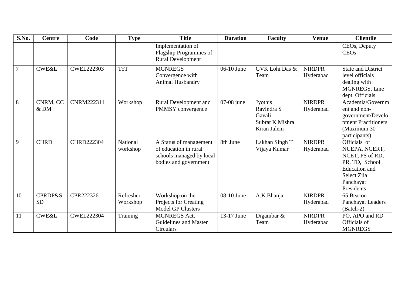| S.No.          | <b>Centre</b>                   | Code              | <b>Type</b>           | <b>Title</b>                                                                                         | <b>Duration</b> | <b>Faculty</b>                                                    | <b>Venue</b>               | <b>Clientile</b>                                                                                                                     |
|----------------|---------------------------------|-------------------|-----------------------|------------------------------------------------------------------------------------------------------|-----------------|-------------------------------------------------------------------|----------------------------|--------------------------------------------------------------------------------------------------------------------------------------|
|                |                                 |                   |                       | Implementation of<br><b>Flagship Programmes of</b><br><b>Rural Development</b>                       |                 |                                                                   |                            | CEOs, Deputy<br><b>CEOs</b>                                                                                                          |
| $\overline{7}$ | <b>CWE&amp;L</b>                | <b>CWEL222303</b> | <b>ToT</b>            | <b>MGNREGS</b><br>Convergence with<br><b>Animal Husbandry</b>                                        | 06-10 June      | GVK Lohi Das &<br>Team                                            | <b>NIRDPR</b><br>Hyderabad | <b>State and District</b><br>level officials<br>dealing with<br>MGNREGS, Line<br>dept. Officials                                     |
| $\overline{8}$ | CNRM, CC<br>& <sub>DM</sub>     | CNRM222311        | Workshop              | Rural Development and<br>PMMSY convergence                                                           | $07-08$ june    | Jyothis<br>Ravindra S<br>Gavali<br>Subrat K Mishra<br>Kiran Jalem | <b>NIRDPR</b><br>Hyderabad | Academia/Governm<br>ent and non-<br>government/Develo<br>pment Practitioners<br>(Maximum 30<br>participants)                         |
| 9              | <b>CHRD</b>                     | CHRD222304        | National<br>workshop  | A Status of management<br>of education in rural<br>schools managed by local<br>bodies and government | 8th June        | Lakhan Singh T<br>Vijaya Kumar                                    | <b>NIRDPR</b><br>Hyderabad | Officials of<br>NUEPA, NCERT,<br>NCET, PS of RD,<br>PR, TD, School<br><b>Education</b> and<br>Select Zila<br>Panchayat<br>Presidents |
| 10             | <b>CPRDP&amp;S</b><br><b>SD</b> | CPR222326         | Refresher<br>Workshop | Workshop on the<br>Projects for Creating<br><b>Model GP Clusters</b>                                 | 08-10 June      | A.K.Bhanja                                                        | <b>NIRDPR</b><br>Hyderabad | 65 Beacon<br>Panchayat Leaders<br>$(Batch-2)$                                                                                        |
| 11             | <b>CWE&amp;L</b>                | <b>CWEL222304</b> | Training              | MGNREGS Act,<br><b>Guidelines and Master</b><br>Circulars                                            | 13-17 June      | Digambar &<br>Team                                                | <b>NIRDPR</b><br>Hyderabad | PO, APO and RD<br>Officials of<br><b>MGNREGS</b>                                                                                     |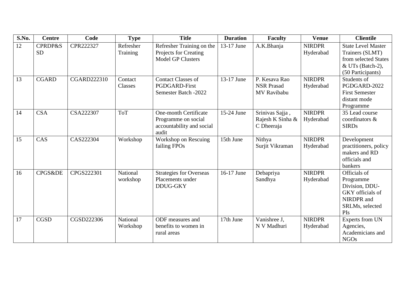| S.No. | <b>Centre</b>                   | Code               | <b>Type</b>           | <b>Title</b>                                                                       | <b>Duration</b> | <b>Faculty</b>                                    | <b>Venue</b>               | <b>Clientile</b>                                                                                              |
|-------|---------------------------------|--------------------|-----------------------|------------------------------------------------------------------------------------|-----------------|---------------------------------------------------|----------------------------|---------------------------------------------------------------------------------------------------------------|
| 12    | <b>CPRDP&amp;S</b><br><b>SD</b> | CPR222327          | Refresher<br>Training | Refresher Training on the<br>Projects for Creating<br><b>Model GP Clusters</b>     | 13-17 June      | A.K.Bhanja                                        | <b>NIRDPR</b><br>Hyderabad | <b>State Level Master</b><br>Trainers (SLMT)<br>from selected States<br>& UTs (Batch-2),<br>(50 Participants) |
| 13    | <b>CGARD</b>                    | <b>CGARD222310</b> | Contact<br>Classes    | <b>Contact Classes of</b><br><b>PGDGARD-First</b><br>Semester Batch -2022          | 13-17 June      | P. Kesava Rao<br><b>NSR Prasad</b><br>MV Ravibabu | <b>NIRDPR</b><br>Hyderabad | Students of<br>PGDGARD-2022<br><b>First Semester</b><br>distant mode<br>Programme                             |
| 14    | <b>CSA</b>                      | CSA222307          | <b>ToT</b>            | One-month Certificate<br>Programme on social<br>accountability and social<br>audit | 15-24 June      | Srinivas Sajja,<br>Rajesh K Sinha &<br>C Dheeraja | <b>NIRDPR</b><br>Hyderabad | 35 Lead course<br>coordinators &<br><b>SIRDs</b>                                                              |
| 15    | CAS                             | CAS222304          | Workshop              | <b>Workshop on Rescuing</b><br>failing FPOs                                        | 15th June       | Nithya<br>Surjit Vikraman                         | <b>NIRDPR</b><br>Hyderabad | Development<br>practitioners, policy<br>makers and RD<br>officials and<br>bankers                             |
| 16    | <b>CPGS&amp;DE</b>              | CPGS222301         | National<br>workshop  | <b>Strategies for Overseas</b><br>Placements under<br><b>DDUG-GKY</b>              | 16-17 June      | Debapriya<br>Sandhya                              | <b>NIRDPR</b><br>Hyderabad | Officials of<br>Programme<br>Division, DDU-<br>GKY officials of<br>NIRDPR and<br>SRLMs, selected<br>PIs       |
| 17    | <b>CGSD</b>                     | CGSD222306         | National<br>Workshop  | ODF measures and<br>benefits to women in<br>rural areas                            | 17th June       | Vanishree J,<br>N V Madhuri                       | <b>NIRDPR</b><br>Hyderabad | Experts from UN<br>Agencies,<br>Academicians and<br><b>NGOs</b>                                               |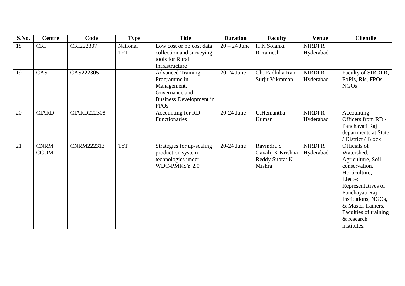| S.No. | <b>Centre</b> | Code               | <b>Type</b> | <b>Title</b>              | <b>Duration</b> | <b>Faculty</b>    | <b>Venue</b>  | <b>Clientile</b>      |
|-------|---------------|--------------------|-------------|---------------------------|-----------------|-------------------|---------------|-----------------------|
| 18    | <b>CRI</b>    | CRI222307          | National    | Low cost or no cost data  | $20 - 24$ June  | H K Solanki       | <b>NIRDPR</b> |                       |
|       |               |                    | <b>ToT</b>  | collection and surveying  |                 | R Ramesh          | Hyderabad     |                       |
|       |               |                    |             | tools for Rural           |                 |                   |               |                       |
|       |               |                    |             | Infrastructure            |                 |                   |               |                       |
| 19    | CAS           | CAS222305          |             | <b>Advanced Training</b>  | 20-24 June      | Ch. Radhika Rani  | <b>NIRDPR</b> | Faculty of SIRDPR,    |
|       |               |                    |             | Programme in              |                 | Surjit Vikraman   | Hyderabad     | PoPIs, RIs, FPOs,     |
|       |               |                    |             | Management,               |                 |                   |               | <b>NGOs</b>           |
|       |               |                    |             | Governance and            |                 |                   |               |                       |
|       |               |                    |             | Business Development in   |                 |                   |               |                       |
|       |               |                    |             | <b>FPOs</b>               |                 |                   |               |                       |
| 20    | <b>CIARD</b>  | <b>CIARD222308</b> |             | Accounting for RD         | 20-24 June      | U.Hemantha        | <b>NIRDPR</b> | Accounting            |
|       |               |                    |             | Functionaries             |                 | Kumar             | Hyderabad     | Officers from RD /    |
|       |               |                    |             |                           |                 |                   |               | Panchayati Raj        |
|       |               |                    |             |                           |                 |                   |               | departments at State  |
|       |               |                    |             |                           |                 |                   |               | / District / Block    |
| 21    | <b>CNRM</b>   | CNRM222313         | <b>ToT</b>  | Strategies for up-scaling | 20-24 June      | Ravindra S        | <b>NIRDPR</b> | Officials of          |
|       | <b>CCDM</b>   |                    |             | production system         |                 | Gavali, K Krishna | Hyderabad     | Watershed,            |
|       |               |                    |             | technologies under        |                 | Reddy Subrat K    |               | Agriculture, Soil     |
|       |               |                    |             | WDC-PMKSY 2.0             |                 | Mishra            |               | conservation,         |
|       |               |                    |             |                           |                 |                   |               | Horticulture,         |
|       |               |                    |             |                           |                 |                   |               | Elected               |
|       |               |                    |             |                           |                 |                   |               | Representatives of    |
|       |               |                    |             |                           |                 |                   |               | Panchayati Raj        |
|       |               |                    |             |                           |                 |                   |               | Institutions, NGOs,   |
|       |               |                    |             |                           |                 |                   |               | & Master trainers,    |
|       |               |                    |             |                           |                 |                   |               | Faculties of training |
|       |               |                    |             |                           |                 |                   |               | & research            |
|       |               |                    |             |                           |                 |                   |               | institutes.           |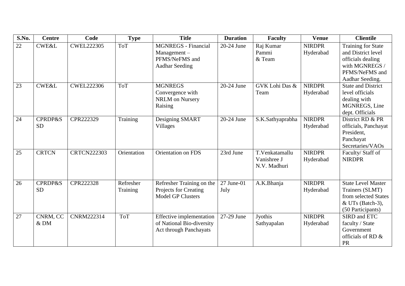| S.No. | <b>Centre</b>                   | Code               | <b>Type</b>           | <b>Title</b>                                                                            | <b>Duration</b>    | <b>Faculty</b>                                | <b>Venue</b>               | <b>Clientile</b>                                                                                                     |
|-------|---------------------------------|--------------------|-----------------------|-----------------------------------------------------------------------------------------|--------------------|-----------------------------------------------|----------------------------|----------------------------------------------------------------------------------------------------------------------|
| 22    | <b>CWE&amp;L</b>                | <b>CWEL222305</b>  | <b>ToT</b>            | <b>MGNREGS</b> - Financial<br>$Management -$<br>PFMS/NeFMS and<br><b>Aadhar Seeding</b> | 20-24 June         | Raj Kumar<br>Pammi<br>& Team                  | <b>NIRDPR</b><br>Hyderabad | Training for State<br>and District level<br>officials dealing<br>with MGNREGS /<br>PFMS/NeFMS and<br>Aadhar Seeding. |
| 23    | <b>CWE&amp;L</b>                | <b>CWEL222306</b>  | <b>ToT</b>            | <b>MGNREGS</b><br>Convergence with<br>NRLM on Nursery<br>Raising                        | 20-24 June         | GVK Lohi Das &<br>Team                        | <b>NIRDPR</b><br>Hyderabad | <b>State and District</b><br>level officials<br>dealing with<br>MGNREGS, Line<br>dept. Officials                     |
| 24    | <b>CPRDP&amp;S</b><br><b>SD</b> | CPR222329          | Training              | Designing SMART<br><b>Villages</b>                                                      | 20-24 June         | S.K.Sathyaprabha                              | <b>NIRDPR</b><br>Hyderabad | District RD & PR<br>officials, Panchayat<br>President.<br>Panchayat<br>Secretaries/VAOs                              |
| 25    | <b>CRTCN</b>                    | <b>CRTCN222303</b> | Orientation           | Orientation on FDS                                                                      | 23rd June          | T.Venkatamallu<br>Vanishree J<br>N.V. Madhuri | <b>NIRDPR</b><br>Hyderabad | Faculty/Staff of<br><b>NIRDPR</b>                                                                                    |
| 26    | <b>CPRDP&amp;S</b><br><b>SD</b> | CPR222328          | Refresher<br>Training | Refresher Training on the<br>Projects for Creating<br><b>Model GP Clusters</b>          | 27 June-01<br>July | A.K.Bhanja                                    | <b>NIRDPR</b><br>Hyderabad | <b>State Level Master</b><br>Trainers (SLMT)<br>from selected States<br>& UTs (Batch-3),<br>(50 Participants)        |
| 27    | CNRM, CC<br>$&$ DM              | CNRM222314         | <b>ToT</b>            | Effective implementation<br>of National Bio-diversity<br><b>Act through Panchayats</b>  | 27-29 June         | Jyothis<br>Sathyapalan                        | <b>NIRDPR</b><br>Hyderabad | SIRD and ETC<br>faculty / State<br>Government<br>officials of RD &<br>PR                                             |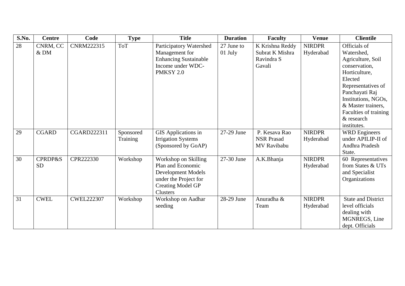| S.No. | <b>Centre</b>                   | Code              | <b>Type</b>           | <b>Title</b>                                                                                                                     | <b>Duration</b>          | <b>Faculty</b>                                             | <b>Venue</b>               | <b>Clientile</b>                                                                                                                                                                                                                        |
|-------|---------------------------------|-------------------|-----------------------|----------------------------------------------------------------------------------------------------------------------------------|--------------------------|------------------------------------------------------------|----------------------------|-----------------------------------------------------------------------------------------------------------------------------------------------------------------------------------------------------------------------------------------|
| 28    | CNRM, CC<br>& DM                | CNRM222315        | <b>ToT</b>            | Participatory Watershed<br>Management for<br><b>Enhancing Sustainable</b><br>Income under WDC-<br>PMKSY 2.0                      | 27 June to<br>01 July    | K Krishna Reddy<br>Subrat K Mishra<br>Ravindra S<br>Gavali | <b>NIRDPR</b><br>Hyderabad | Officials of<br>Watershed,<br>Agriculture, Soil<br>conservation,<br>Horticulture,<br>Elected<br>Representatives of<br>Panchayati Raj<br>Institutions, NGOs,<br>& Master trainers,<br>Faculties of training<br>& research<br>institutes. |
| 29    | <b>CGARD</b>                    | CGARD222311       | Sponsored<br>Training | <b>GIS</b> Applications in<br><b>Irrigation Systems</b><br>(Sponsored by GoAP)                                                   | 27-29 June               | P. Kesava Rao<br><b>NSR Prasad</b><br>MV Ravibabu          | <b>NIRDPR</b><br>Hyderabad | <b>WRD</b> Engineers<br>under APILIP-II of<br>Andhra Pradesh<br>State.                                                                                                                                                                  |
| 30    | <b>CPRDP&amp;S</b><br><b>SD</b> | CPR222330         | Workshop              | Workshop on Skilling<br>Plan and Economic<br>Development Models<br>under the Project for<br><b>Creating Model GP</b><br>Clusters | $\overline{27}$ -30 June | A.K.Bhanja                                                 | <b>NIRDPR</b><br>Hyderabad | 60 Representatives<br>from States & UTs<br>and Specialist<br>Organizations                                                                                                                                                              |
| 31    | <b>CWEL</b>                     | <b>CWEL222307</b> | Workshop              | Workshop on Aadhar<br>seeding                                                                                                    | 28-29 June               | Anuradha &<br>Team                                         | <b>NIRDPR</b><br>Hyderabad | <b>State and District</b><br>level officials<br>dealing with<br>MGNREGS, Line<br>dept. Officials                                                                                                                                        |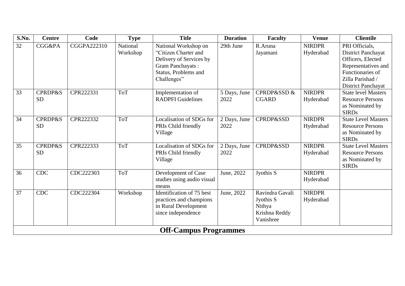| S.No.           | <b>Centre</b>                   | Code        | <b>Type</b>                 | <b>Title</b>                                                                                                                       | <b>Duration</b>      | <b>Faculty</b>                                                       | <b>Venue</b>               | <b>Clientile</b>                                                                                                                                      |
|-----------------|---------------------------------|-------------|-----------------------------|------------------------------------------------------------------------------------------------------------------------------------|----------------------|----------------------------------------------------------------------|----------------------------|-------------------------------------------------------------------------------------------------------------------------------------------------------|
| 32              | <b>CGG&amp;PA</b>               | CGGPA222310 | <b>National</b><br>Workshop | National Workshop on<br>"Citizen Charter and<br>Delivery of Services by<br>Gram Panchayats:<br>Status, Problems and<br>Challenges" | 29th June            | R.Aruna<br>Jayamani                                                  | <b>NIRDPR</b><br>Hyderabad | PRI Officials,<br>District Panchayat<br>Officers, Elected<br>Representatives and<br>Functionaries of<br>Zilla Parishad /<br><b>District Panchayat</b> |
| $\overline{33}$ | <b>CPRDP&amp;S</b><br><b>SD</b> | CPR222331   | <b>ToT</b>                  | Implementation of<br><b>RADPFI</b> Guidelines                                                                                      | 5 Days, June<br>2022 | CPRDP&SSD &<br><b>CGARD</b>                                          | <b>NIRDPR</b><br>Hyderabad | <b>State level Masters</b><br><b>Resource Persons</b><br>as Nominated by<br><b>SIRDs</b>                                                              |
| 34              | <b>CPRDP&amp;S</b><br><b>SD</b> | CPR222332   | <b>ToT</b>                  | Localisation of SDGs for<br>PRIs Child friendly<br>Village                                                                         | 2 Days, June<br>2022 | <b>CPRDP&amp;SSD</b>                                                 | <b>NIRDPR</b><br>Hyderabad | <b>State Level Masters</b><br><b>Resource Persons</b><br>as Nominated by<br><b>SIRDs</b>                                                              |
| 35              | <b>CPRDP&amp;S</b><br><b>SD</b> | CPR222333   | <b>ToT</b>                  | Localisation of SDGs for<br>PRIs Child friendly<br>Village                                                                         | 2 Days, June<br>2022 | <b>CPRDP&amp;SSD</b>                                                 | <b>NIRDPR</b><br>Hyderabad | <b>State Level Masters</b><br><b>Resource Persons</b><br>as Nominated by<br><b>SIRDs</b>                                                              |
| 36              | $CD\overline{C}$                | CDC222303   | <b>ToT</b>                  | Development of Case<br>studies using audio visual<br>means                                                                         | June, 2022           | Jyothis S                                                            | <b>NIRDPR</b><br>Hyderabad |                                                                                                                                                       |
| 37              | <b>CDC</b>                      | CDC222304   | Workshop                    | Identification of 75 best<br>practices and champions<br>in Rural Development<br>since independence                                 | June, 2022           | Ravindra Gavali<br>Jyothis S<br>Nithya<br>Krishna Reddy<br>Vanishree | <b>NIRDPR</b><br>Hyderabad |                                                                                                                                                       |
|                 |                                 |             |                             | <b>Off-Campus Programmes</b>                                                                                                       |                      |                                                                      |                            |                                                                                                                                                       |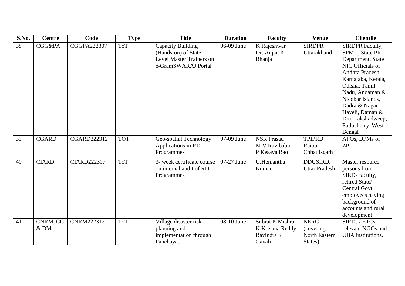| S.No. | <b>Centre</b>     | Code               | <b>Type</b> | <b>Title</b>                                                                                | <b>Duration</b> | <b>Faculty</b>                                             | <b>Venue</b>                                          | <b>Clientile</b>                                                                                                                                                                                                                                                         |
|-------|-------------------|--------------------|-------------|---------------------------------------------------------------------------------------------|-----------------|------------------------------------------------------------|-------------------------------------------------------|--------------------------------------------------------------------------------------------------------------------------------------------------------------------------------------------------------------------------------------------------------------------------|
| 38    | <b>CGG&amp;PA</b> | CGGPA222307        | <b>ToT</b>  | Capacity Building<br>(Hands-on) of State<br>Level Master Trainers on<br>e-GramSWARAJ Portal | 06-09 June      | K Rajeshwar<br>Dr. Anjan Kr<br>Bhanja                      | <b>SIRDPR</b><br>Uttarakhand                          | <b>SIRDPR Faculty,</b><br>SPMU, State PR<br>Department, State<br>NIC Officials of<br>Andhra Pradesh,<br>Karnataka, Kerala,<br>Odisha, Tamil<br>Nadu, Andaman &<br>Nicobar Islands,<br>Dadra & Nagar<br>Haveli, Daman &<br>Diu, Lakshadweep,<br>Puducherry West<br>Bengal |
| 39    | <b>CGARD</b>      | <b>CGARD222312</b> | <b>TOT</b>  | Geo-spatial Technology<br>Applications in RD<br>Programmes                                  | 07-09 June      | <b>NSR Prasad</b><br>M V Ravibabu<br>P Kesava Rao          | <b>TPIPRD</b><br>Raipur<br>Chhattisgarh               | APOs, DPMs of<br>ZP.                                                                                                                                                                                                                                                     |
| 40    | <b>CIARD</b>      | <b>CIARD222307</b> | <b>ToT</b>  | 3- week certificate course<br>on internal audit of RD<br>Programmes                         | 07-27 June      | U.Hemantha<br>Kumar                                        | DDUSIRD,<br><b>Uttar Pradesh</b>                      | Master resource<br>persons from<br>SIRDs faculty,<br>retired State/<br>Central Govt.<br>employees having<br>background of<br>accounts and rural<br>development                                                                                                           |
| 41    | CNRM, CC<br>& DM  | <b>CNRM222312</b>  | <b>ToT</b>  | Village disaster risk<br>planning and<br>implementation through<br>Panchayat                | 08-10 June      | Subrat K Mishra<br>K.Krishna Reddy<br>Ravindra S<br>Gavali | <b>NERC</b><br>(covering)<br>North Eastern<br>States) | SIRDs / ETCs,<br>relevant NGOs and<br>UBA institutions.                                                                                                                                                                                                                  |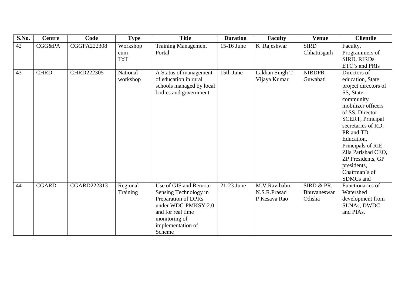| S.No. | <b>Centre</b> | Code               | <b>Type</b>                   | <b>Title</b>                                                                                                                                                      | <b>Duration</b> | <b>Faculty</b>                               | <b>Venue</b>                        | <b>Clientile</b>                                                                                                                                                                                                                                                                                                        |
|-------|---------------|--------------------|-------------------------------|-------------------------------------------------------------------------------------------------------------------------------------------------------------------|-----------------|----------------------------------------------|-------------------------------------|-------------------------------------------------------------------------------------------------------------------------------------------------------------------------------------------------------------------------------------------------------------------------------------------------------------------------|
| 42    | CGG&PA        | <b>CGGPA222308</b> | Workshop<br>cum<br><b>ToT</b> | <b>Training Management</b><br>Portal                                                                                                                              | 15-16 June      | K .Rajeshwar                                 | <b>SIRD</b><br>Chhattisgarh         | Faculty,<br>Programmers of<br><b>SIRD, RIRDs</b><br>ETC's and PRIs                                                                                                                                                                                                                                                      |
| 43    | <b>CHRD</b>   | <b>CHRD222305</b>  | National<br>workshop          | A Status of management<br>of education in rural<br>schools managed by local<br>bodies and government                                                              | 15th June       | Lakhan Singh T<br>Vijaya Kumar               | <b>NIRDPR</b><br>Guwahati           | Directors of<br>education, State<br>project directors of<br>SS, State<br>community<br>mobilizer officers<br>of SS, Director<br><b>SCERT</b> , Principal<br>secretaries of RD,<br>PR and TD,<br>Education,<br>Principals of RIE.<br>Zila Parishad CEO,<br>ZP Presidents, GP<br>presidents,<br>Chairman's of<br>SDMCs and |
| 44    | <b>CGARD</b>  | CGARD222313        | Regional<br>Training          | Use of GIS and Remote<br>Sensing Technology in<br>Preparation of DPRs<br>under WDC-PMKSY 2.0<br>and for real time<br>monitoring of<br>implementation of<br>Scheme | $21-23$ June    | M.V.Ravibabu<br>N.S.R.Prasad<br>P Kesava Rao | SIRD & PR,<br>Bhuvaneswar<br>Odisha | Functionaries of<br>Watershed<br>development from<br>SLNAs, DWDC<br>and PIAs.                                                                                                                                                                                                                                           |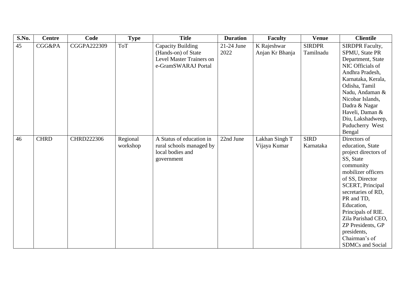| S.No. | <b>Centre</b>     | Code              | <b>Type</b> | <b>Title</b>             | <b>Duration</b> | <b>Faculty</b>  | <b>Venue</b>  | <b>Clientile</b>                      |
|-------|-------------------|-------------------|-------------|--------------------------|-----------------|-----------------|---------------|---------------------------------------|
| 45    | <b>CGG&amp;PA</b> | CGGPA222309       | <b>ToT</b>  | Capacity Building        | 21-24 June      | K Rajeshwar     | <b>SIRDPR</b> | <b>SIRDPR Faculty,</b>                |
|       |                   |                   |             | (Hands-on) of State      | 2022            | Anjan Kr Bhanja | Tamilnadu     | SPMU, State PR                        |
|       |                   |                   |             | Level Master Trainers on |                 |                 |               | Department, State                     |
|       |                   |                   |             | e-GramSWARAJ Portal      |                 |                 |               | NIC Officials of                      |
|       |                   |                   |             |                          |                 |                 |               | Andhra Pradesh,                       |
|       |                   |                   |             |                          |                 |                 |               | Karnataka, Kerala,                    |
|       |                   |                   |             |                          |                 |                 |               | Odisha, Tamil                         |
|       |                   |                   |             |                          |                 |                 |               | Nadu, Andaman &                       |
|       |                   |                   |             |                          |                 |                 |               | Nicobar Islands,                      |
|       |                   |                   |             |                          |                 |                 |               | Dadra & Nagar                         |
|       |                   |                   |             |                          |                 |                 |               | Haveli, Daman &                       |
|       |                   |                   |             |                          |                 |                 |               | Diu, Lakshadweep,                     |
|       |                   |                   |             |                          |                 |                 |               | Puducherry West                       |
|       |                   |                   |             |                          |                 |                 |               | Bengal                                |
| 46    | <b>CHRD</b>       | <b>CHRD222306</b> | Regional    | A Status of education in | 22nd June       | Lakhan Singh T  | <b>SIRD</b>   | Directors of                          |
|       |                   |                   | workshop    | rural schools managed by |                 | Vijaya Kumar    | Karnataka     | education, State                      |
|       |                   |                   |             | local bodies and         |                 |                 |               | project directors of                  |
|       |                   |                   |             | government               |                 |                 |               | SS, State                             |
|       |                   |                   |             |                          |                 |                 |               | community                             |
|       |                   |                   |             |                          |                 |                 |               | mobilizer officers<br>of SS, Director |
|       |                   |                   |             |                          |                 |                 |               | <b>SCERT</b> , Principal              |
|       |                   |                   |             |                          |                 |                 |               | secretaries of RD,                    |
|       |                   |                   |             |                          |                 |                 |               | PR and TD,                            |
|       |                   |                   |             |                          |                 |                 |               | Education,                            |
|       |                   |                   |             |                          |                 |                 |               | Principals of RIE.                    |
|       |                   |                   |             |                          |                 |                 |               | Zila Parishad CEO,                    |
|       |                   |                   |             |                          |                 |                 |               | ZP Presidents, GP                     |
|       |                   |                   |             |                          |                 |                 |               | presidents,                           |
|       |                   |                   |             |                          |                 |                 |               | Chairman's of                         |
|       |                   |                   |             |                          |                 |                 |               | SDMCs and Social                      |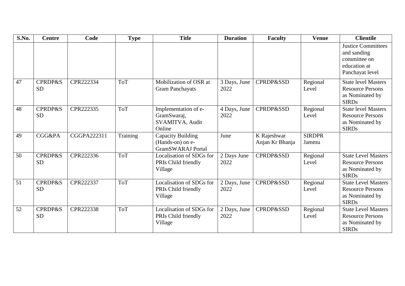| S.No. | <b>Centre</b>                   | Code        | <b>Type</b> | <b>Title</b>                                                      | <b>Duration</b>      | <b>Faculty</b>                 | <b>Venue</b>           | <b>Clientile</b>                                                                            |
|-------|---------------------------------|-------------|-------------|-------------------------------------------------------------------|----------------------|--------------------------------|------------------------|---------------------------------------------------------------------------------------------|
|       |                                 |             |             |                                                                   |                      |                                |                        | <b>Justice Committees</b><br>and sanding<br>committee on<br>education at<br>Panchayat level |
| 47    | <b>CPRDP&amp;S</b><br><b>SD</b> | CPR222334   | <b>ToT</b>  | Mobilization of OSR at<br><b>Gram Panchayats</b>                  | 3 Days, June<br>2022 | <b>CPRDP&amp;SSD</b>           | Regional<br>Level      | <b>State level Masters</b><br><b>Resource Persons</b><br>as Nominated by<br><b>SIRDs</b>    |
| 48    | <b>CPRDP&amp;S</b><br><b>SD</b> | CPR222335   | <b>ToT</b>  | Implementation of e-<br>GramSwaraj,<br>SVAMITVA, Audit<br>Online  | 4 Days, June<br>2022 | <b>CPRDP&amp;SSD</b>           | Regional<br>Level      | <b>State level Masters</b><br><b>Resource Persons</b><br>as Nominated by<br><b>SIRDs</b>    |
| 49    | <b>CGG&amp;PA</b>               | CGGPA222311 | Training    | Capacity Building<br>(Hands-on) on e-<br><b>GramSWARAJ</b> Portal | June                 | K Rajeshwar<br>Anjan Kr Bhanja | <b>SIRDPR</b><br>Jammu |                                                                                             |
| 50    | <b>CPRDP&amp;S</b><br><b>SD</b> | CPR222336   | <b>ToT</b>  | Localisation of SDGs for<br>PRIs Child friendly<br>Village        | 2 Days June<br>2022  | <b>CPRDP&amp;SSD</b>           | Regional<br>Level      | <b>State Level Masters</b><br><b>Resource Persons</b><br>as Nominated by<br><b>SIRDs</b>    |
| 51    | <b>CPRDP&amp;S</b><br><b>SD</b> | CPR222337   | <b>ToT</b>  | Localisation of SDGs for<br>PRIs Child friendly<br>Village        | 2 Days, June<br>2022 | <b>CPRDP&amp;SSD</b>           | Regional<br>Level      | <b>State Level Masters</b><br><b>Resource Persons</b><br>as Nominated by<br><b>SIRDs</b>    |
| 52    | <b>CPRDP&amp;S</b><br><b>SD</b> | CPR222338   | <b>ToT</b>  | Localisation of SDGs for<br>PRIs Child friendly<br>Village        | 2 Days, June<br>2022 | <b>CPRDP&amp;SSD</b>           | Regional<br>Level      | <b>State Level Masters</b><br><b>Resource Persons</b><br>as Nominated by<br><b>SIRDs</b>    |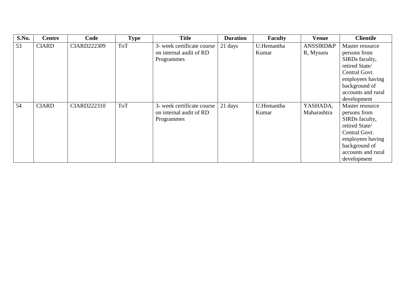| S.No. | <b>Centre</b> | Code               | <b>Type</b> | <b>Title</b>               | <b>Duration</b> | <b>Faculty</b> | <b>Venue</b> | <b>Clientile</b>   |
|-------|---------------|--------------------|-------------|----------------------------|-----------------|----------------|--------------|--------------------|
| 53    | <b>CIARD</b>  | CIARD222309        | <b>ToT</b>  | 3- week certificate course | 21 days         | U.Hemantha     | ANSSIRD&P    | Master resource    |
|       |               |                    |             | on internal audit of RD    |                 | Kumar          | R, Mysuru    | persons from       |
|       |               |                    |             | Programmes                 |                 |                |              | SIRDs faculty,     |
|       |               |                    |             |                            |                 |                |              | retired State/     |
|       |               |                    |             |                            |                 |                |              | Central Govt.      |
|       |               |                    |             |                            |                 |                |              | employees having   |
|       |               |                    |             |                            |                 |                |              | background of      |
|       |               |                    |             |                            |                 |                |              | accounts and rural |
|       |               |                    |             |                            |                 |                |              | development        |
| 54    | <b>CIARD</b>  | <b>CIARD222310</b> | <b>ToT</b>  | 3- week certificate course | 21 days         | U.Hemantha     | YASHADA,     | Master resource    |
|       |               |                    |             | on internal audit of RD    |                 | Kumar          | Maharashtra  | persons from       |
|       |               |                    |             | Programmes                 |                 |                |              | SIRDs faculty,     |
|       |               |                    |             |                            |                 |                |              | retired State/     |
|       |               |                    |             |                            |                 |                |              | Central Govt.      |
|       |               |                    |             |                            |                 |                |              | employees having   |
|       |               |                    |             |                            |                 |                |              | background of      |
|       |               |                    |             |                            |                 |                |              | accounts and rural |
|       |               |                    |             |                            |                 |                |              | development        |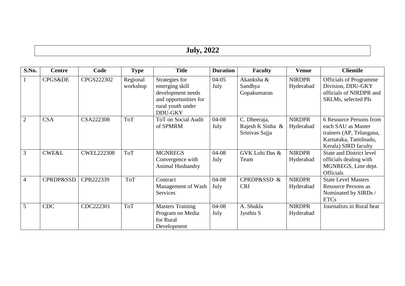# **July, 2022**

| S.No.          | <b>Centre</b>        | Code              | <b>Type</b>          | <b>Title</b>                                                                                                          | <b>Duration</b>   | <b>Faculty</b>                                     | <b>Venue</b>               | <b>Clientile</b>                                                                                                           |
|----------------|----------------------|-------------------|----------------------|-----------------------------------------------------------------------------------------------------------------------|-------------------|----------------------------------------------------|----------------------------|----------------------------------------------------------------------------------------------------------------------------|
| $\mathbf{1}$   | CPGS&DE              | CPGS222302        | Regional<br>workshop | Strategies for<br>emerging skill<br>development needs<br>and opportunities for<br>rural youth under<br><b>DDU-GKY</b> | $04-05$<br>July   | Akanksha &<br>Sandhya<br>Gopakumaran               | <b>NIRDPR</b><br>Hyderabad | <b>Officials of Programme</b><br>Division, DDU-GKY<br>officials of NIRDPR and<br>SRLMs, selected PIs                       |
| $\overline{2}$ | <b>CSA</b>           | <b>CSA222308</b>  | <b>ToT</b>           | ToT on Social Audit<br>of SPMRM                                                                                       | $04-08$<br>July   | C. Dheeraja,<br>Rajesh K Sinha &<br>Srinivas Sajja | <b>NIRDPR</b><br>Hyderabad | 6 Resource Persons from<br>each SAU as Master<br>trainers (AP, Telangana,<br>Karnataka, Tamilnadu,<br>Kerala) SIRD faculty |
| $\overline{3}$ | <b>CWE&amp;L</b>     | <b>CWEL222308</b> | <b>ToT</b>           | <b>MGNREGS</b><br>Convergence with<br>Animal Husbandry                                                                | 04-08<br>July     | GVK Lohi Das &<br>Team                             | <b>NIRDPR</b><br>Hyderabad | <b>State and District level</b><br>officials dealing with<br>MGNREGS, Line dept.<br><b>Officials</b>                       |
| $\overline{4}$ | <b>CPRDP&amp;SSD</b> | CPR222339         | <b>ToT</b>           | Contract<br>Management of Wash<br>Services                                                                            | $04-08$<br>July   | CPRDP&SSD &<br><b>CRI</b>                          | <b>NIRDPR</b><br>Hyderabad | <b>State Level Masters</b><br><b>Resource Persons as</b><br>Nominated by SIRDs /<br><b>ETCs</b>                            |
| $\overline{5}$ | <b>CDC</b>           | CDC222301         | <b>ToT</b>           | <b>Masters Training</b><br>Program on Media<br>for Rural<br>Development                                               | $04 - 08$<br>July | A. Shukla<br>Jyothis S                             | <b>NIRDPR</b><br>Hyderabad | Journalists in Rural beat                                                                                                  |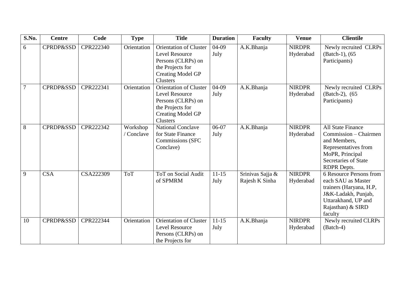| S.No.          | <b>Centre</b>        | Code      | <b>Type</b>            | <b>Title</b>                                                                                                                      | <b>Duration</b>   | <b>Faculty</b>                     | <b>Venue</b>               | <b>Clientile</b>                                                                                                                                       |
|----------------|----------------------|-----------|------------------------|-----------------------------------------------------------------------------------------------------------------------------------|-------------------|------------------------------------|----------------------------|--------------------------------------------------------------------------------------------------------------------------------------------------------|
| 6              | <b>CPRDP&amp;SSD</b> | CPR222340 | Orientation            | <b>Orientation of Cluster</b><br>Level Resource<br>Persons (CLRPs) on<br>the Projects for<br><b>Creating Model GP</b><br>Clusters | $04-09$<br>July   | A.K.Bhanja                         | <b>NIRDPR</b><br>Hyderabad | Newly recruited CLRPs<br>(Batch-1), (65)<br>Participants)                                                                                              |
| $\overline{7}$ | <b>CPRDP&amp;SSD</b> | CPR222341 | Orientation            | <b>Orientation of Cluster</b><br>Level Resource<br>Persons (CLRPs) on<br>the Projects for<br><b>Creating Model GP</b><br>Clusters | $04-09$<br>July   | A.K.Bhanja                         | <b>NIRDPR</b><br>Hyderabad | Newly recruited CLRPs<br>(Batch-2), (65)<br>Participants)                                                                                              |
| $\overline{8}$ | <b>CPRDP&amp;SSD</b> | CPR222342 | Workshop<br>/ Conclave | <b>National Conclave</b><br>for State Finance<br>Commissions (SFC<br>Conclave)                                                    | $06-07$<br>July   | A.K.Bhanja                         | <b>NIRDPR</b><br>Hyderabad | <b>All State Finance</b><br>Commission - Chairmen<br>and Members,<br>Representatives from<br>MoPR, Principal<br>Secretaries of State<br>RDPR Depts.    |
| $\overline{9}$ | <b>CSA</b>           | CSA222309 | <b>ToT</b>             | <b>ToT</b> on Social Audit<br>of SPMRM                                                                                            | $11-15$<br>July   | Srinivas Sajja &<br>Rajesh K Sinha | <b>NIRDPR</b><br>Hyderabad | 6 Resource Persons from<br>each SAU as Master<br>trainers (Haryana, H.P,<br>J&K-Ladakh, Punjab,<br>Uttarakhand, UP and<br>Rajasthan) & SIRD<br>faculty |
| 10             | <b>CPRDP&amp;SSD</b> | CPR222344 | Orientation            | <b>Orientation of Cluster</b><br>Level Resource<br>Persons (CLRPs) on<br>the Projects for                                         | $11 - 15$<br>July | A.K.Bhanja                         | <b>NIRDPR</b><br>Hyderabad | Newly recruited CLRPs<br>(Batch-4)                                                                                                                     |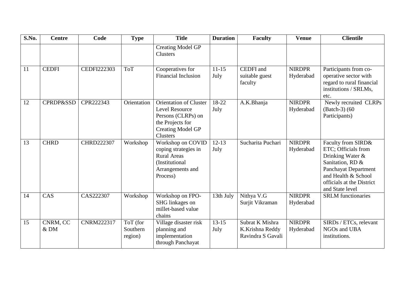| S.No. | <b>Centre</b>        | Code               | <b>Type</b>                     | <b>Title</b>                                                                                                                      | <b>Duration</b>   | <b>Faculty</b>                                          | <b>Venue</b>               | <b>Clientile</b>                                                                                                                                                                        |
|-------|----------------------|--------------------|---------------------------------|-----------------------------------------------------------------------------------------------------------------------------------|-------------------|---------------------------------------------------------|----------------------------|-----------------------------------------------------------------------------------------------------------------------------------------------------------------------------------------|
|       |                      |                    |                                 | <b>Creating Model GP</b><br><b>Clusters</b>                                                                                       |                   |                                                         |                            |                                                                                                                                                                                         |
| 11    | <b>CEDFI</b>         | <b>CEDFI222303</b> | <b>ToT</b>                      | Cooperatives for<br><b>Financial Inclusion</b>                                                                                    | $11 - 15$<br>July | CEDFI and<br>suitable guest<br>faculty                  | <b>NIRDPR</b><br>Hyderabad | Participants from co-<br>operative sector with<br>regard to rural financial<br>institutions / SRLMs,<br>etc.                                                                            |
| 12    | <b>CPRDP&amp;SSD</b> | CPR222343          | Orientation                     | <b>Orientation of Cluster</b><br>Level Resource<br>Persons (CLRPs) on<br>the Projects for<br><b>Creating Model GP</b><br>Clusters | 18-22<br>July     | A.K.Bhanja                                              | <b>NIRDPR</b><br>Hyderabad | Newly recruited CLRPs<br>(Batch-3) (60<br>Participants)                                                                                                                                 |
| 13    | <b>CHRD</b>          | <b>CHRD222307</b>  | Workshop                        | Workshop on COVID<br>coping strategies in<br><b>Rural Areas</b><br>(Institutional<br>Arrangements and<br>Process)                 | $12 - 13$<br>July | Sucharita Puchari                                       | <b>NIRDPR</b><br>Hyderabad | Faculty from SIRD&<br>ETC; Officials from<br>Drinking Water &<br>Sanitation, RD &<br><b>Panchayat Department</b><br>and Health & School<br>officials at the District<br>and State level |
| 14    | CAS                  | CAS222307          | Workshop                        | Workshop on FPO-<br>SHG linkages on<br>millet-based value<br>chains                                                               | 13th July         | Nithya V.G<br>Surjit Vikraman                           | <b>NIRDPR</b><br>Hyderabad | <b>SRLM</b> functionaries                                                                                                                                                               |
| 15    | CNRM, CC<br>& DM     | <b>CNRM222317</b>  | ToT (for<br>Southern<br>region) | Village disaster risk<br>planning and<br>implementation<br>through Panchayat                                                      | $13-15$<br>July   | Subrat K Mishra<br>K.Krishna Reddy<br>Ravindra S Gavali | <b>NIRDPR</b><br>Hyderabad | SIRDs / ETCs, relevant<br>NGOs and UBA<br>institutions.                                                                                                                                 |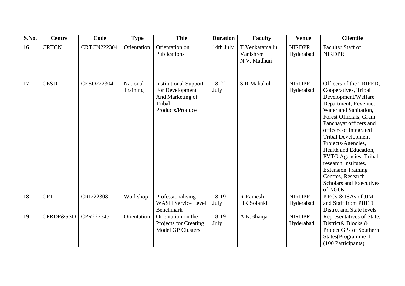| S.No. | <b>Centre</b>        | Code               | <b>Type</b>          | <b>Title</b>                                                                                      | <b>Duration</b> | <b>Faculty</b>                              | <b>Venue</b>               | <b>Clientile</b>                                                                                                                                                                                                                                                                                                                                                                                                                          |
|-------|----------------------|--------------------|----------------------|---------------------------------------------------------------------------------------------------|-----------------|---------------------------------------------|----------------------------|-------------------------------------------------------------------------------------------------------------------------------------------------------------------------------------------------------------------------------------------------------------------------------------------------------------------------------------------------------------------------------------------------------------------------------------------|
| 16    | <b>CRTCN</b>         | <b>CRTCN222304</b> | Orientation          | Orientation on<br>Publications                                                                    | 14th July       | T.Venkatamallu<br>Vanishree<br>N.V. Madhuri | <b>NIRDPR</b><br>Hyderabad | Faculty/Staff of<br><b>NIRDPR</b>                                                                                                                                                                                                                                                                                                                                                                                                         |
| 17    | <b>CESD</b>          | <b>CESD222304</b>  | National<br>Training | <b>Institutional Support</b><br>For Development<br>And Marketing of<br>Tribal<br>Products/Produce | 18-22<br>July   | S R Mahakul                                 | <b>NIRDPR</b><br>Hyderabad | Officers of the TRIFED,<br>Cooperatives, Tribal<br>Development/Welfare<br>Department, Revenue,<br>Water and Sanitation,<br>Forest Officials, Gram<br>Panchayat officers and<br>officers of Integrated<br><b>Tribal Development</b><br>Projects/Agencies,<br>Health and Education,<br><b>PVTG Agencies, Tribal</b><br>research Institutes,<br><b>Extension Training</b><br>Centres, Research<br><b>Scholars and Executives</b><br>of NGOs. |
| 18    | <b>CRI</b>           | CRI222308          | Workshop             | Professionalising<br><b>WASH Service Level</b><br>Benchmark                                       | 18-19<br>July   | R Ramesh<br>HK Solanki                      | <b>NIRDPR</b><br>Hyderabad | KRCs & ISAs of JJM<br>and Staff from PHED<br>Distrct and State levels                                                                                                                                                                                                                                                                                                                                                                     |
| 19    | <b>CPRDP&amp;SSD</b> | CPR222345          | Orientation          | Orientation on the<br>Projects for Creating<br><b>Model GP Clusters</b>                           | 18-19<br>July   | A.K.Bhanja                                  | <b>NIRDPR</b><br>Hyderabad | Representatives of State,<br>District& Blocks &<br>Project GPs of Southern<br>States(Programme-1)<br>(100 Participants)                                                                                                                                                                                                                                                                                                                   |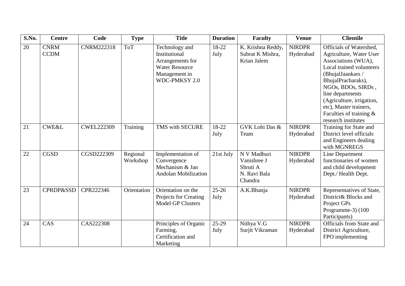| S.No. | <b>Centre</b>              | Code              | <b>Type</b>          | <b>Title</b>                                                                                                          | <b>Duration</b>   | <b>Faculty</b>                                                    | <b>Venue</b>               | <b>Clientile</b>                                                                                                                                                                                                                                                                                    |
|-------|----------------------------|-------------------|----------------------|-----------------------------------------------------------------------------------------------------------------------|-------------------|-------------------------------------------------------------------|----------------------------|-----------------------------------------------------------------------------------------------------------------------------------------------------------------------------------------------------------------------------------------------------------------------------------------------------|
| 20    | <b>CNRM</b><br><b>CCDM</b> | <b>CNRM222318</b> | <b>ToT</b>           | Technology and<br>Institutional<br>Arrangements for<br><b>Water Resource</b><br>Management in<br><b>WDC-PMKSY 2.0</b> | 18-22<br>July     | K. Krishna Reddy,<br>Subrat K Mishra,<br>Krian Jalem              | <b>NIRDPR</b><br>Hyderabad | Officials of Watershed,<br>Agriculture, Water User<br>Associations (WUA),<br>Local trained volunteers<br>(BhujalJaankars /<br>BhujalPracharaks),<br>NGOs, BDOs, SIRDs,<br>line departments<br>(Agriculture, irrigation,<br>etc), Master trainers,<br>Faculties of training &<br>research institutes |
| 21    | <b>CWE&amp;L</b>           | <b>CWEL222309</b> | Training             | TMS with SECURE                                                                                                       | 18-22<br>July     | GVK Lohi Das &<br>Team                                            | <b>NIRDPR</b><br>Hyderabad | Training for State and<br>District level officials<br>and Engineers dealing<br>with MGNREGS                                                                                                                                                                                                         |
| 22    | $\overline{\text{CGSD}}$   | CGSD222309        | Regional<br>Workshop | Implementation of<br>Convergence<br>Mechanism & Jan<br><b>Andolan Mobilization</b>                                    | 21st July         | N V Madhuri<br>Vanishree J<br>Shruti A<br>N. Ravi Bala<br>Chandra | <b>NIRDPR</b><br>Hyderabad | Line Department<br>functionaries of women<br>and child development<br>Dept./ Health Dept.                                                                                                                                                                                                           |
| 23    | <b>CPRDP&amp;SSD</b>       | CPR222346         | Orientation          | Orientation on the<br>Projects for Creating<br><b>Model GP Clusters</b>                                               | $25 - 26$<br>July | A.K.Bhanja                                                        | <b>NIRDPR</b><br>Hyderabad | Representatives of State,<br>District& Blocks and<br>Project GPs<br>Programme-3) (100<br>Participants)                                                                                                                                                                                              |
| 24    | CAS                        | CAS222308         |                      | Principles of Organic<br>Farming,<br>Certification and<br>Marketing                                                   | $25-29$<br>July   | Nithya V.G<br>Surjit Vikraman                                     | <b>NIRDPR</b><br>Hyderabad | <b>Officials from State and</b><br>District Agriculture,<br>FPO implementing                                                                                                                                                                                                                        |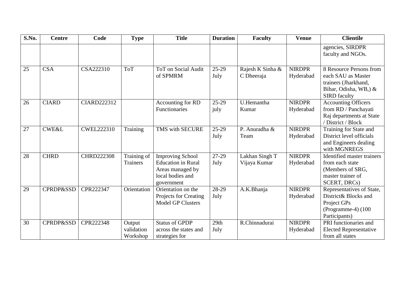| S.No.           | <b>Centre</b>        | Code               | <b>Type</b>     | <b>Title</b>               | <b>Duration</b> | <b>Faculty</b>   | <b>Venue</b>  | <b>Clientile</b>                  |
|-----------------|----------------------|--------------------|-----------------|----------------------------|-----------------|------------------|---------------|-----------------------------------|
|                 |                      |                    |                 |                            |                 |                  |               | agencies, SIRDPR                  |
|                 |                      |                    |                 |                            |                 |                  |               | faculty and NGOs.                 |
| 25              | <b>CSA</b>           | CSA222310          | <b>ToT</b>      | <b>ToT</b> on Social Audit | $25-29$         | Rajesh K Sinha & | <b>NIRDPR</b> | 8 Resource Persons from           |
|                 |                      |                    |                 | of SPMRM                   | July            | C Dheeraja       | Hyderabad     | each SAU as Master                |
|                 |                      |                    |                 |                            |                 |                  |               | trainers (Jharkhand,              |
|                 |                      |                    |                 |                            |                 |                  |               | Bihar, Odisha, WB, &              |
|                 |                      |                    |                 |                            |                 |                  |               | <b>SIRD</b> faculty               |
| 26              | <b>CIARD</b>         | <b>CIARD222312</b> |                 | Accounting for RD          | 25-29           | U.Hemantha       | <b>NIRDPR</b> | <b>Accounting Officers</b>        |
|                 |                      |                    |                 | Functionaries              | july            | Kumar            | Hyderabad     | from RD / Panchayati              |
|                 |                      |                    |                 |                            |                 |                  |               | Raj departments at State          |
|                 |                      |                    |                 |                            |                 |                  |               | / District / Block                |
| 27              | <b>CWE&amp;L</b>     | <b>CWEL222310</b>  | Training        | TMS with SECURE            | $25-29$         | P. Anuradha &    | <b>NIRDPR</b> | Training for State and            |
|                 |                      |                    |                 |                            | July            | Team             | Hyderabad     | District level officials          |
|                 |                      |                    |                 |                            |                 |                  |               | and Engineers dealing             |
|                 |                      |                    |                 |                            |                 |                  |               | with MGNREGS                      |
| 28              | <b>CHRD</b>          | <b>CHRD222308</b>  | Training of     | <b>Improving School</b>    | 27-29           | Lakhan Singh T   | <b>NIRDPR</b> | <b>Identified master trainers</b> |
|                 |                      |                    | <b>Trainers</b> | <b>Education</b> in Rural  | July            | Vijaya Kumar     | Hyderabad     | from each state                   |
|                 |                      |                    |                 | Areas managed by           |                 |                  |               | (Members of SRG,                  |
|                 |                      |                    |                 | local bodies and           |                 |                  |               | master trainer of                 |
|                 |                      |                    |                 | government                 |                 |                  |               | SCERT, DRCs)                      |
| 29              | <b>CPRDP&amp;SSD</b> | CPR222347          | Orientation     | Orientation on the         | 28-29           | A.K.Bhanja       | <b>NIRDPR</b> | Representatives of State,         |
|                 |                      |                    |                 | Projects for Creating      | July            |                  | Hyderabad     | District& Blocks and              |
|                 |                      |                    |                 | <b>Model GP Clusters</b>   |                 |                  |               | Project GPs                       |
|                 |                      |                    |                 |                            |                 |                  |               | (Programme-4) (100                |
|                 |                      |                    |                 |                            |                 |                  |               | Participants)                     |
| $\overline{30}$ | <b>CPRDP&amp;SSD</b> | CPR222348          | Output          | <b>Status of GPDP</b>      | 29th            | R.Chinnadurai    | <b>NIRDPR</b> | PRI functionaries and             |
|                 |                      |                    | validation      | across the states and      | July            |                  | Hyderabad     | <b>Elected Representative</b>     |
|                 |                      |                    | Workshop        | strategies for             |                 |                  |               | from all states                   |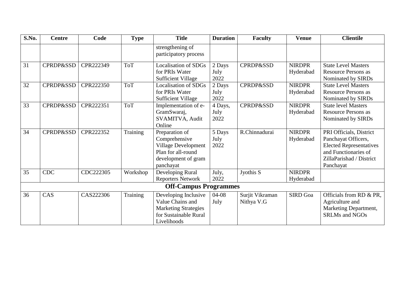| S.No. | <b>Centre</b>        | Code      | <b>Type</b> | <b>Title</b>                              | <b>Duration</b> | <b>Faculty</b>       | <b>Venue</b>    | <b>Clientile</b>               |
|-------|----------------------|-----------|-------------|-------------------------------------------|-----------------|----------------------|-----------------|--------------------------------|
|       |                      |           |             | strengthening of<br>participatory process |                 |                      |                 |                                |
| 31    | <b>CPRDP&amp;SSD</b> | CPR222349 | <b>ToT</b>  | <b>Localisation of SDGs</b>               | 2 Days          | <b>CPRDP&amp;SSD</b> | <b>NIRDPR</b>   | <b>State Level Masters</b>     |
|       |                      |           |             | for PRIs Water                            | July            |                      | Hyderabad       | <b>Resource Persons as</b>     |
|       |                      |           |             | <b>Sufficient Village</b>                 | 2022            |                      |                 | Nominated by SIRDs             |
| 32    | CPRDP&SSD            | CPR222350 | <b>ToT</b>  | <b>Localisation of SDGs</b>               | 2 Days          | <b>CPRDP&amp;SSD</b> | <b>NIRDPR</b>   | <b>State Level Masters</b>     |
|       |                      |           |             | for PRIs Water                            | July            |                      | Hyderabad       | <b>Resource Persons as</b>     |
|       |                      |           |             | <b>Sufficient Village</b>                 | 2022            |                      |                 | Nominated by SIRDs             |
| 33    | <b>CPRDP&amp;SSD</b> | CPR222351 | <b>ToT</b>  | Implementation of e-                      | 4 Days,         | <b>CPRDP&amp;SSD</b> | <b>NIRDPR</b>   | <b>State level Masters</b>     |
|       |                      |           |             | GramSwaraj,                               | July            |                      | Hyderabad       | Resource Persons as            |
|       |                      |           |             | SVAMITVA, Audit                           | 2022            |                      |                 | Nominated by SIRDs             |
|       |                      |           |             | Online                                    |                 |                      |                 |                                |
| 34    | <b>CPRDP&amp;SSD</b> | CPR222352 | Training    | Preparation of                            | 5 Days          | R.Chinnadurai        | <b>NIRDPR</b>   | PRI Officials, District        |
|       |                      |           |             | Comprehensive                             | July            |                      | Hyderabad       | Panchayat Officers,            |
|       |                      |           |             | <b>Village Development</b>                | 2022            |                      |                 | <b>Elected Representatives</b> |
|       |                      |           |             | Plan for all-round                        |                 |                      |                 | and Functionaries of           |
|       |                      |           |             | development of gram                       |                 |                      |                 | ZillaParishad / District       |
|       |                      |           |             | panchayat                                 |                 |                      |                 | Panchayat                      |
| 35    | <b>CDC</b>           | CDC222305 | Workshop    | Developing Rural                          | July,           | Jyothis S            | <b>NIRDPR</b>   |                                |
|       |                      |           |             | <b>Reporters Network</b>                  | 2022            |                      | Hyderabad       |                                |
|       |                      |           |             | <b>Off-Campus Programmes</b>              |                 |                      |                 |                                |
| 36    | CAS                  | CAS222306 | Training    | Developing Inclusive                      | $04 - 08$       | Surjit Vikraman      | <b>SIRD Goa</b> | Officials from RD & PR,        |
|       |                      |           |             | Value Chains and                          | July            | Nithya V.G           |                 | Agriculture and                |
|       |                      |           |             | <b>Marketing Strategies</b>               |                 |                      |                 | Marketing Department,          |
|       |                      |           |             | for Sustainable Rural                     |                 |                      |                 | <b>SRLMs</b> and NGOs          |
|       |                      |           |             | Livelihoods                               |                 |                      |                 |                                |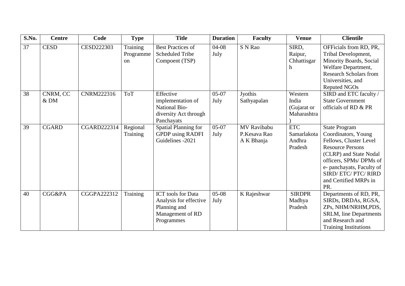| S.No. | <b>Centre</b>      | Code               | <b>Type</b>                            | <b>Title</b>                                                                                          | <b>Duration</b>   | <b>Faculty</b>                            | <b>Venue</b>                                   | <b>Clientile</b>                                                                                                                                                                                                                          |
|-------|--------------------|--------------------|----------------------------------------|-------------------------------------------------------------------------------------------------------|-------------------|-------------------------------------------|------------------------------------------------|-------------------------------------------------------------------------------------------------------------------------------------------------------------------------------------------------------------------------------------------|
| 37    | <b>CESD</b>        | <b>CESD222303</b>  | Training<br>Programme<br><sub>on</sub> | <b>Best Practices of</b><br><b>Scheduled Tribe</b><br>Compoent (TSP)                                  | $04 - 08$<br>July | S N Rao                                   | SIRD,<br>Raipur,<br>Chhattisgar<br>h           | OFFicials from RD, PR,<br>Tribal Development,<br>Minority Boards, Social<br>Welfare Department,<br><b>Research Scholars from</b><br>Universities, and<br><b>Reputed NGOs</b>                                                              |
| 38    | CNRM, CC<br>$&$ DM | CNRM222316         | <b>ToT</b>                             | Effective<br>implementation of<br><b>National Bio-</b><br>diversity Act through<br>Panchayats         | $05-07$<br>July   | Jyothis<br>Sathyapalan                    | Western<br>India<br>(Gujarat or<br>Maharashtra | SIRD and ETC faculty /<br><b>State Government</b><br>officials of RD & PR                                                                                                                                                                 |
| 39    | <b>CGARD</b>       | <b>CGARD222314</b> | Regional<br><b>Training</b>            | Spatial Planning for<br><b>GPDP</b> using RADFI<br>Guidelines -2021                                   | $05-07$<br>July   | MV Ravibabu<br>P.Kesava Rao<br>A K Bhanja | <b>ETC</b><br>Samarlakota<br>Andhra<br>Pradesh | <b>State Program</b><br>Coordinators, Young<br>Fellows, Cluster Level<br><b>Resource Persons</b><br>(CLRP) and State Nodal<br>officers, SPMs/DPMs of<br>e- panchayats, Faculty of<br>SIRD/ ETC/ PTC/ RIRD<br>and Certified MRPs in<br>PR. |
| 40    | CGG&PA             | CGGPA222312        | Training                               | <b>ICT</b> tools for Data<br>Analysis for effective<br>Planning and<br>Management of RD<br>Programmes | $05-08$<br>July   | K Rajeshwar                               | <b>SIRDPR</b><br>Madhya<br>Pradesh             | Departments of RD, PR,<br>SIRDs, DRDAs, RGSA,<br>ZPs, NHM/NRHM,PDS,<br><b>SRLM, line Departments</b><br>and Research and<br><b>Training Institutions</b>                                                                                  |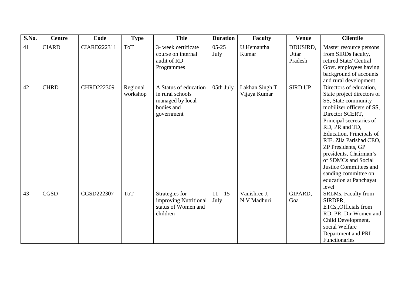| S.No. | <b>Centre</b>            | Code              | <b>Type</b>          | <b>Title</b>                                                                              | <b>Duration</b>   | <b>Faculty</b>                 | <b>Venue</b>                 | <b>Clientile</b>                                                                                                                                                                                                                                                                                                                                                                                    |
|-------|--------------------------|-------------------|----------------------|-------------------------------------------------------------------------------------------|-------------------|--------------------------------|------------------------------|-----------------------------------------------------------------------------------------------------------------------------------------------------------------------------------------------------------------------------------------------------------------------------------------------------------------------------------------------------------------------------------------------------|
| 41    | <b>CIARD</b>             | CIARD222311       | <b>ToT</b>           | 3- week certificate<br>course on internal<br>audit of RD<br>Programmes                    | $05 - 25$<br>July | U.Hemantha<br>Kumar            | DDUSIRD,<br>Uttar<br>Pradesh | Master resource persons<br>from SIRDs faculty,<br>retired State/ Central<br>Govt. employees having<br>background of accounts<br>and rural development                                                                                                                                                                                                                                               |
| 42    | <b>CHRD</b>              | <b>CHRD222309</b> | Regional<br>workshop | A Status of education<br>in rural schools<br>managed by local<br>bodies and<br>government | 05th July         | Lakhan Singh T<br>Vijaya Kumar | <b>SIRD UP</b>               | Directors of education,<br>State project directors of<br>SS, State community<br>mobilizer officers of SS,<br>Director SCERT,<br>Principal secretaries of<br>RD, PR and TD,<br>Education, Principals of<br>RIE. Zila Parishad CEO,<br>ZP Presidents, GP<br>presidents, Chairman's<br>of SDMCs and Social<br><b>Justice Committees and</b><br>sanding committee on<br>education at Panchayat<br>level |
| 43    | $\overline{\text{CGSD}}$ | CGSD222307        | <b>ToT</b>           | Strategies for<br>improving Nutritional<br>status of Women and<br>children                | $11 - 15$<br>July | Vanishree J,<br>N V Madhuri    | GIPARD,<br>Goa               | SRLMs, Faculty from<br>SIRDPR,<br>ETCs, Officials from<br>RD, PR, Dir Women and<br>Child Development,<br>social Welfare<br>Department and PRI<br>Functionaries                                                                                                                                                                                                                                      |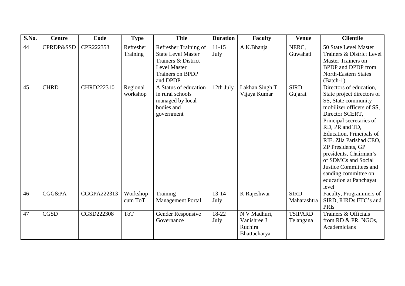| S.No. | <b>Centre</b>        | Code        | <b>Type</b>           | <b>Title</b>                                                                                                                            | <b>Duration</b>            | <b>Faculty</b>                                         | <b>Venue</b>                | <b>Clientile</b>                                                                                                                                                                                                                                                                                                                                                                                    |
|-------|----------------------|-------------|-----------------------|-----------------------------------------------------------------------------------------------------------------------------------------|----------------------------|--------------------------------------------------------|-----------------------------|-----------------------------------------------------------------------------------------------------------------------------------------------------------------------------------------------------------------------------------------------------------------------------------------------------------------------------------------------------------------------------------------------------|
| 44    | <b>CPRDP&amp;SSD</b> | CPR222353   | Refresher<br>Training | Refresher Training of<br><b>State Level Master</b><br>Trainers & District<br><b>Level Master</b><br><b>Trainers on BPDP</b><br>and DPDP | $11 - 15$<br>July          | A.K.Bhanja                                             | NERC,<br>Guwahati           | 50 State Level Master<br>Trainers & District Level<br><b>Master Trainers on</b><br><b>BPDP</b> and DPDP from<br><b>North-Eastern States</b><br>(Batch-1)                                                                                                                                                                                                                                            |
| 45    | <b>CHRD</b>          | CHRD222310  | Regional<br>workshop  | A Status of education<br>in rural schools<br>managed by local<br>bodies and<br>government                                               | 12th July                  | Lakhan Singh T<br>Vijaya Kumar                         | <b>SIRD</b><br>Gujarat      | Directors of education,<br>State project directors of<br>SS, State community<br>mobilizer officers of SS,<br>Director SCERT,<br>Principal secretaries of<br>RD, PR and TD,<br>Education, Principals of<br>RIE. Zila Parishad CEO,<br>ZP Presidents, GP<br>presidents, Chairman's<br>of SDMCs and Social<br><b>Justice Committees and</b><br>sanding committee on<br>education at Panchayat<br>level |
| 46    | <b>CGG&amp;PA</b>    | CGGPA222313 | Workshop<br>cum ToT   | Training<br><b>Management Portal</b>                                                                                                    | $\overline{13-14}$<br>July | K Rajeshwar                                            | <b>SIRD</b><br>Maharashtra  | Faculty, Programmers of<br>SIRD, RIRDs ETC's and<br>PRIs                                                                                                                                                                                                                                                                                                                                            |
| 47    | <b>CGSD</b>          | CGSD222308  | <b>ToT</b>            | Gender Responsive<br>Governance                                                                                                         | 18-22<br>July              | N V Madhuri,<br>Vanishree J<br>Ruchira<br>Bhattacharya | <b>TSIPARD</b><br>Telangana | Trainers & Officials<br>from RD & PR, NGOs,<br>Academicians                                                                                                                                                                                                                                                                                                                                         |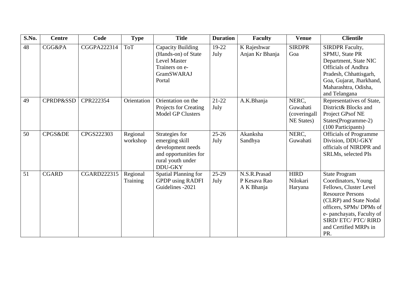| S.No. | <b>Centre</b>        | Code               | <b>Type</b>          | <b>Title</b>                                                                                                          | <b>Duration</b>   | <b>Faculty</b>                             | <b>Venue</b>                                             | <b>Clientile</b>                                                                                                                                                                                                                       |
|-------|----------------------|--------------------|----------------------|-----------------------------------------------------------------------------------------------------------------------|-------------------|--------------------------------------------|----------------------------------------------------------|----------------------------------------------------------------------------------------------------------------------------------------------------------------------------------------------------------------------------------------|
| 48    | CGG&PA               | CGGPA222314        | <b>ToT</b>           | Capacity Building<br>(Hands-on) of State<br><b>Level Master</b><br>Trainers on e-<br><b>GramSWARAJ</b><br>Portal      | 19-22<br>July     | K Rajeshwar<br>Anjan Kr Bhanja             | <b>SIRDPR</b><br>Goa                                     | <b>SIRDPR Faculty,</b><br>SPMU, State PR<br>Department, State NIC<br><b>Officials of Andhra</b><br>Pradesh, Chhattisgarh,<br>Goa, Gujarat, Jharkhand,<br>Maharashtra, Odisha,<br>and Telangana                                         |
| 49    | <b>CPRDP&amp;SSD</b> | CPR222354          | Orientation          | Orientation on the<br>Projects for Creating<br><b>Model GP Clusters</b>                                               | $21-22$<br>July   | A.K.Bhanja                                 | NERC,<br>Guwahati<br>(coveringall)<br><b>NE States</b> ) | Representatives of State,<br>District& Blocks and<br>Project GPsof NE<br>States(Programme-2)<br>(100 Participants)                                                                                                                     |
| 50    | CPGS&DE              | CPGS222303         | Regional<br>workshop | Strategies for<br>emerging skill<br>development needs<br>and opportunities for<br>rural youth under<br><b>DDU-GKY</b> | $25 - 26$<br>July | Akanksha<br>Sandhya                        | NERC,<br>Guwahati                                        | <b>Officials of Programme</b><br>Division, DDU-GKY<br>officials of NIRDPR and<br>SRLMs, selected PIs                                                                                                                                   |
| 51    | <b>CGARD</b>         | <b>CGARD222315</b> | Regional<br>Training | <b>Spatial Planning for</b><br><b>GPDP</b> using RADFI<br>Guidelines -2021                                            | $25-29$<br>July   | N.S.R.Prasad<br>P Kesava Rao<br>A K Bhanja | <b>HIRD</b><br>Nilokari<br>Haryana                       | <b>State Program</b><br>Coordinators, Young<br>Fellows, Cluster Level<br><b>Resource Persons</b><br>(CLRP) and State Nodal<br>officers, SPMs/DPMs of<br>e- panchayats, Faculty of<br>SIRD/ETC/PTC/RIRD<br>and Certified MRPs in<br>PR. |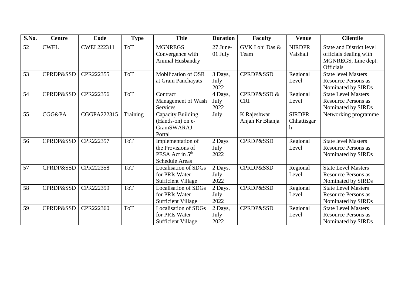| S.No. | <b>Centre</b>        | Code              | <b>Type</b> | <b>Title</b>                                                                                   | <b>Duration</b>         | <b>Faculty</b>                 | <b>Venue</b>                      | <b>Clientile</b>                                                                                     |
|-------|----------------------|-------------------|-------------|------------------------------------------------------------------------------------------------|-------------------------|--------------------------------|-----------------------------------|------------------------------------------------------------------------------------------------------|
| 52    | <b>CWEL</b>          | <b>CWEL222311</b> | <b>ToT</b>  | <b>MGNREGS</b><br>Convergence with<br>Animal Husbandry                                         | 27 June-<br>01 July     | GVK Lohi Das &<br>Team         | <b>NIRDPR</b><br>Vaishali         | <b>State and District level</b><br>officials dealing with<br>MGNREGS, Line dept.<br><b>Officials</b> |
| 53    | <b>CPRDP&amp;SSD</b> | CPR222355         | <b>ToT</b>  | Mobilization of OSR<br>at Gram Panchayats                                                      | 3 Days,<br>July<br>2022 | <b>CPRDP&amp;SSD</b>           | Regional<br>Level                 | <b>State level Masters</b><br><b>Resource Persons as</b><br>Nominated by SIRDs                       |
| 54    | <b>CPRDP&amp;SSD</b> | CPR222356         | <b>ToT</b>  | Contract<br>Management of Wash<br>Services                                                     | 4 Days,<br>July<br>2022 | CPRDP&SSD &<br><b>CRI</b>      | Regional<br>Level                 | <b>State Level Masters</b><br><b>Resource Persons as</b><br>Nominated by SIRDs                       |
| 55    | CGG&PA               | CGGPA222315       | Training    | <b>Capacity Building</b><br>(Hands-on) on e-<br><b>GramSWARAJ</b><br>Portal                    | July                    | K Rajeshwar<br>Anjan Kr Bhanja | <b>SIRDPR</b><br>Chhattisgar<br>h | Networking programme                                                                                 |
| 56    | <b>CPRDP&amp;SSD</b> | CPR222357         | <b>ToT</b>  | Implementation of<br>the Provisions of<br>PESA Act in 5 <sup>th</sup><br><b>Schedule Areas</b> | 2 Days<br>July<br>2022  | <b>CPRDP&amp;SSD</b>           | Regional<br>Level                 | <b>State level Masters</b><br><b>Resource Persons as</b><br>Nominated by SIRDs                       |
| 57    | <b>CPRDP&amp;SSD</b> | CPR222358         | <b>ToT</b>  | <b>Localisation of SDGs</b><br>for PRIs Water<br><b>Sufficient Village</b>                     | 2 Days,<br>July<br>2022 | <b>CPRDP&amp;SSD</b>           | Regional<br>Level                 | <b>State Level Masters</b><br><b>Resource Persons as</b><br>Nominated by SIRDs                       |
| 58    | <b>CPRDP&amp;SSD</b> | CPR222359         | <b>ToT</b>  | <b>Localisation of SDGs</b><br>for PRIs Water<br><b>Sufficient Village</b>                     | 2 Days,<br>July<br>2022 | <b>CPRDP&amp;SSD</b>           | Regional<br>Level                 | <b>State Level Masters</b><br><b>Resource Persons as</b><br>Nominated by SIRDs                       |
| 59    | <b>CPRDP&amp;SSD</b> | CPR222360         | <b>ToT</b>  | <b>Localisation of SDGs</b><br>for PRIs Water<br><b>Sufficient Village</b>                     | 2 Days,<br>July<br>2022 | <b>CPRDP&amp;SSD</b>           | Regional<br>Level                 | <b>State Level Masters</b><br><b>Resource Persons as</b><br>Nominated by SIRDs                       |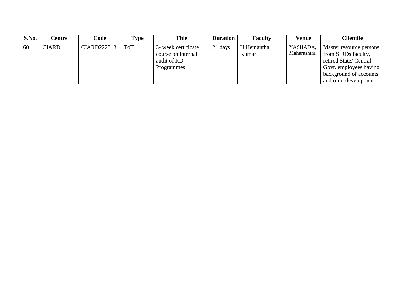| S.No. | Centre       | Code        | Type       | <b>Title</b>                                                           | <b>Duration</b> | <b>Faculty</b>      | Venue                   | <b>Clientile</b>                                                                                                                                      |
|-------|--------------|-------------|------------|------------------------------------------------------------------------|-----------------|---------------------|-------------------------|-------------------------------------------------------------------------------------------------------------------------------------------------------|
| 60    | <b>CIARD</b> | CIARD222313 | <b>ToT</b> | 3- week certificate<br>course on internal<br>audit of RD<br>Programmes | 21 days         | U.Hemantha<br>Kumar | YASHADA,<br>Maharashtra | Master resource persons<br>from SIRDs faculty,<br>retired State/ Central<br>Govt. employees having<br>background of accounts<br>and rural development |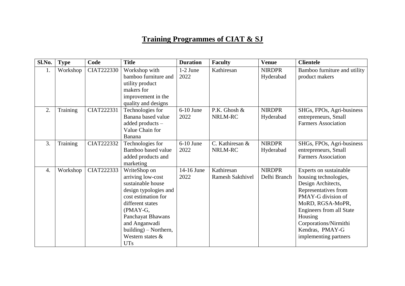## **Training Programmes of CIAT & SJ**

| Sl.No. | <b>Type</b> | Code       | <b>Title</b>                                                                                                                                                                                                                            | <b>Duration</b>     | <b>Faculty</b>                 | <b>Venue</b>                  | <b>Clientele</b>                                                                                                                                                                                                                                           |
|--------|-------------|------------|-----------------------------------------------------------------------------------------------------------------------------------------------------------------------------------------------------------------------------------------|---------------------|--------------------------------|-------------------------------|------------------------------------------------------------------------------------------------------------------------------------------------------------------------------------------------------------------------------------------------------------|
| 1.     | Workshop    | CIAT222330 | Workshop with<br>bamboo furniture and<br>utility product<br>makers for<br>improvement in the<br>quality and designs                                                                                                                     | $1-2$ June<br>2022  | Kathiresan                     | <b>NIRDPR</b><br>Hyderabad    | Bamboo furniture and utility<br>product makers                                                                                                                                                                                                             |
| 2.     | Training    | CIAT222331 | Technologies for<br>Banana based value<br>added products -<br>Value Chain for<br>Banana                                                                                                                                                 | $6-10$ June<br>2022 | P.K. Ghosh &<br>NRLM-RC        | <b>NIRDPR</b><br>Hyderabad    | SHGs, FPOs, Agri-business<br>entrepreneurs, Small<br><b>Farmers Association</b>                                                                                                                                                                            |
| 3.     | Training    | CIAT222332 | Technologies for<br>Bamboo based value<br>added products and<br>marketing                                                                                                                                                               | $6-10$ June<br>2022 | C. Kathiresan &<br>NRLM-RC     | <b>NIRDPR</b><br>Hyderabad    | SHGs, FPOs, Agri-business<br>entrepreneurs, Small<br><b>Farmers Association</b>                                                                                                                                                                            |
| 4.     | Workshop    | CIAT222333 | WriteShop on<br>arriving low-cost<br>sustainable house<br>design typologies and<br>cost estimation for<br>different states<br>(PMAY-G,<br>Panchayat Bhawans<br>and Anganwadi<br>building) – Northern,<br>Western states &<br><b>UTs</b> | 14-16 June<br>2022  | Kathiresan<br>Ramesh Sakthivel | <b>NIRDPR</b><br>Delhi Branch | Experts on sustainable<br>housing technologies,<br>Design Architects,<br>Representatives from<br>PMAY-G division of<br>MoRD, RGSA-MoPR,<br><b>Engineers from all State</b><br>Housing<br>Corporations/Nirmithi<br>Kendras, PMAY-G<br>implementing partners |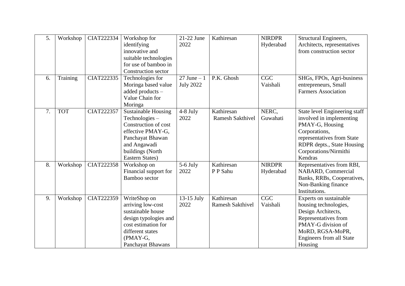| 5. | Workshop   | CIAT222334        | Workshop for<br>identifying<br>innovative and<br>suitable technologies<br>for use of bamboo in<br><b>Construction sector</b>                                               | 21-22 June<br>2022                 | Kathiresan                            | <b>NIRDPR</b><br>Hyderabad | Structural Engineers,<br>Architects, representatives<br>from construction sector                                                                                                              |
|----|------------|-------------------|----------------------------------------------------------------------------------------------------------------------------------------------------------------------------|------------------------------------|---------------------------------------|----------------------------|-----------------------------------------------------------------------------------------------------------------------------------------------------------------------------------------------|
| 6. | Training   | CIAT222335        | Technologies for<br>Moringa based value<br>added products -<br>Value Chain for<br>Moringa                                                                                  | $27$ June $-1$<br><b>July 2022</b> | P.K. Ghosh                            | <b>CGC</b><br>Vaishali     | SHGs, FPOs, Agri-business<br>entrepreneurs, Small<br><b>Farmers Association</b>                                                                                                               |
| 7. | <b>TOT</b> | CIAT222357        | <b>Sustainable Housing</b><br>Technologies-<br>Construction of cost<br>effective PMAY-G,<br>Panchayat Bhawan<br>and Angawadi<br>buildings (North<br><b>Eastern States)</b> | $4-8$ July<br>2022                 | Kathiresan<br><b>Ramesh Sakthivel</b> | NERC,<br>Guwahati          | State level Engineering staff<br>involved in implementing<br>PMAY-G, Housing<br>Corporations,<br>representatives from State<br>RDPR depts., State Housing<br>Corporations/Nirmithi<br>Kendras |
| 8. | Workshop   | <b>CIAT222358</b> | Workshop on<br>Financial support for<br>Bamboo sector                                                                                                                      | $5-6$ July<br>2022                 | Kathiresan<br>P P Sahu                | <b>NIRDPR</b><br>Hyderabad | Representatives from RBI,<br>NABARD, Commercial<br>Banks, RRBs, Cooperatives,<br>Non-Banking finance<br>Institutions.                                                                         |
| 9. | Workshop   | CIAT222359        | WriteShop on<br>arriving low-cost<br>sustainable house<br>design typologies and<br>cost estimation for<br>different states<br>(PMAY-G,<br>Panchayat Bhawans                | 13-15 July<br>2022                 | Kathiresan<br>Ramesh Sakthivel        | <b>CGC</b><br>Vaishali     | Experts on sustainable<br>housing technologies,<br>Design Architects,<br>Representatives from<br>PMAY-G division of<br>MoRD, RGSA-MoPR,<br>Engineers from all State<br>Housing                |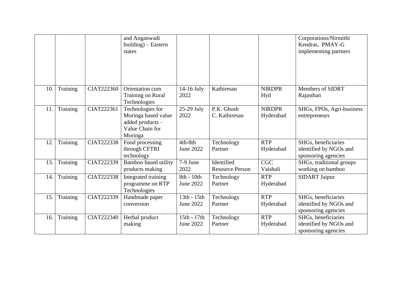|     |          |            | and Anganwadi<br>$building)$ – Eastern<br>states                                          |                                 |                                      |                            | Corporations/Nirmithi<br>Kendras, PMAY-G<br>implementing partners    |
|-----|----------|------------|-------------------------------------------------------------------------------------------|---------------------------------|--------------------------------------|----------------------------|----------------------------------------------------------------------|
| 10. | Training | CIAT222360 | Orientation cum<br>Training on Rural<br>Technologies                                      | 14-16 July<br>2022              | Kathiresan                           | <b>NIRDPR</b><br>Hyd       | Members of SIDRT<br>Rajasthan                                        |
| 11. | Training | CIAT222361 | Technologies for<br>Moringa based value<br>added products -<br>Value Chain for<br>Moringa | $25-29$ July<br>2022            | P.K. Ghosh<br>C. Kathiresan          | <b>NIRDPR</b><br>Hyderabad | SHGs, FPOs, Agri-business<br>entrepreneurs                           |
| 12. | Training | CIAT222338 | Food processing<br>through CFTRI<br>technology                                            | 4th-8th<br><b>June 2022</b>     | Technology<br>Partner                | <b>RTP</b><br>Hyderabad    | SHGs, beneficiaries<br>identified by NGOs and<br>sponsoring agencies |
| 13. | Training | CIAT222339 | Bamboo based utility<br>products making                                                   | 7-9 June<br>2022                | Identified<br><b>Resource Person</b> | <b>CGC</b><br>Vaishali     | SHGs, traditional groups<br>working on bamboo                        |
| 14. | Training | CIAT222338 | Integrated training<br>programme on RTP<br>Technologies                                   | 8th - 10th<br><b>June 2022</b>  | Technology<br>Partner                | <b>RTP</b><br>Hyderabad    | <b>SIDART Jaipur</b>                                                 |
| 15. | Training | CIAT222339 | Handmade paper<br>conversion                                                              | 13th - 15th<br><b>June 2022</b> | Technology<br>Partner                | <b>RTP</b><br>Hyderabad    | SHGs, beneficiaries<br>identified by NGOs and<br>sponsoring agencies |
| 16. | Training | CIAT222340 | Herbal product<br>making                                                                  | 15th - 17th<br><b>June 2022</b> | Technology<br>Partner                | <b>RTP</b><br>Hyderabad    | SHGs, beneficiaries<br>identified by NGOs and<br>sponsoring agencies |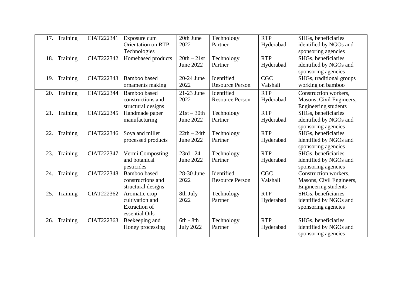| 17. | Training | CIAT222341        | Exposure cum              | 20th June        | Technology             | <b>RTP</b> | SHGs, beneficiaries      |
|-----|----------|-------------------|---------------------------|------------------|------------------------|------------|--------------------------|
|     |          |                   | <b>Orientation on RTP</b> | 2022             | Partner                | Hyderabad  | identified by NGOs and   |
|     |          |                   | Technologies              |                  |                        |            | sponsoring agencies      |
| 18. | Training | CIAT222342        | Homebased products        | $20th-21st$      | Technology             | <b>RTP</b> | SHGs, beneficiaries      |
|     |          |                   |                           | <b>June 2022</b> | Partner                | Hyderabad  | identified by NGOs and   |
|     |          |                   |                           |                  |                        |            | sponsoring agencies      |
| 19. | Training | CIAT222343        | <b>Bamboo</b> based       | 20-24 June       | Identified             | CGC        | SHGs, traditional groups |
|     |          |                   | ornaments making          | 2022             | <b>Resource Person</b> | Vaishali   | working on bamboo        |
| 20. | Training | CIAT222344        | <b>Bamboo</b> based       | 21-23 June       | Identified             | <b>RTP</b> | Construction workers,    |
|     |          |                   | constructions and         | 2022             | <b>Resource Person</b> | Hyderabad  | Masons, Civil Engineers, |
|     |          |                   | structural designs        |                  |                        |            | Engineering students     |
| 21. | Training | CIAT222345        | Handmade paper            | $21st - 30th$    | Technology             | <b>RTP</b> | SHGs, beneficiaries      |
|     |          |                   | manufacturing             | June 2022        | Partner                | Hyderabad  | identified by NGOs and   |
|     |          |                   |                           |                  |                        |            | sponsoring agencies      |
| 22. | Training | CIAT222346        | Soya and millet           | $22th - 24th$    | Technology             | <b>RTP</b> | SHGs, beneficiaries      |
|     |          |                   | processed products        | <b>June 2022</b> | Partner                | Hyderabad  | identified by NGOs and   |
|     |          |                   |                           |                  |                        |            | sponsoring agencies      |
| 23. | Training | CIAT222347        | Vermi Composting          | $23rd - 24$      | Technology             | <b>RTP</b> | SHGs, beneficiaries      |
|     |          |                   | and botanical             | <b>June 2022</b> | Partner                | Hyderabad  | identified by NGOs and   |
|     |          |                   | pesticides                |                  |                        |            | sponsoring agencies      |
| 24. | Training | <b>CIAT222348</b> | <b>Bamboo</b> based       | 28-30 June       | Identified             | <b>CGC</b> | Construction workers,    |
|     |          |                   | constructions and         | 2022             | <b>Resource Person</b> | Vaishali   | Masons, Civil Engineers, |
|     |          |                   | structural designs        |                  |                        |            | Engineering students     |
| 25. | Training | CIAT222362        | Aromatic crop             | 8th July         | Technology             | <b>RTP</b> | SHGs, beneficiaries      |
|     |          |                   | cultivation and           | 2022             | Partner                | Hyderabad  | identified by NGOs and   |
|     |          |                   | <b>Extraction</b> of      |                  |                        |            | sponsoring agencies      |
|     |          |                   | essential Oils            |                  |                        |            |                          |
| 26. | Training | CIAT222363        | Beekeeping and            | $6th - 8th$      | Technology             | <b>RTP</b> | SHGs, beneficiaries      |
|     |          |                   | Honey processing          | <b>July 2022</b> | Partner                | Hyderabad  | identified by NGOs and   |
|     |          |                   |                           |                  |                        |            | sponsoring agencies      |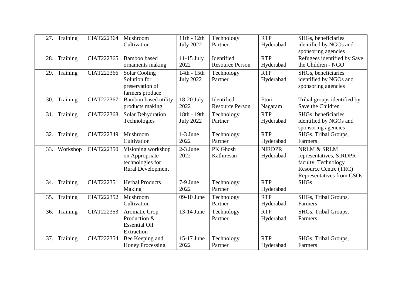| 27. | Training | CIAT222364 | Mushroom                 | 11th - 12th      | Technology             | <b>RTP</b>    | SHGs, beneficiaries          |
|-----|----------|------------|--------------------------|------------------|------------------------|---------------|------------------------------|
|     |          |            | Cultivation              | <b>July 2022</b> | Partner                | Hyderabad     | identified by NGOs and       |
|     |          |            |                          |                  |                        |               | sponsoring agencies          |
| 28. | Training | CIAT222365 | <b>Bamboo</b> based      | $11-15$ July     | Identified             | <b>RTP</b>    | Refugees identified by Save  |
|     |          |            | ornaments making         | 2022             | <b>Resource Person</b> | Hyderabad     | the Children - NGO           |
| 29. | Training | CIAT222366 | Solar Cooling            | 14th - 15th      | Technology             | <b>RTP</b>    | SHGs, beneficiaries          |
|     |          |            | Solution for             | <b>July 2022</b> | Partner                | Hyderabad     | identified by NGOs and       |
|     |          |            | preservation of          |                  |                        |               | sponsoring agencies          |
|     |          |            | farmers produce          |                  |                        |               |                              |
| 30. | Training | CIAT222367 | Bamboo based utility     | 18-20 July       | Identified             | Eturi         | Tribal groups identified by  |
|     |          |            | products making          | 2022             | <b>Resource Person</b> | Nagaram       | Save the Children            |
| 31. | Training | CIAT222368 | Solar Dehydration        | 18th - 19th      | Technology             | <b>RTP</b>    | SHGs, beneficiaries          |
|     |          |            | Technologies             | <b>July 2022</b> | Partner                | Hyderabad     | identified by NGOs and       |
|     |          |            |                          |                  |                        |               | sponsoring agencies          |
| 32. | Training | CIAT222349 | Mushroom                 | $1-3$ June       | Technology             | <b>RTP</b>    | SHGs, Tribal Groups,         |
|     |          |            | Cultivation              | 2022             | Partner                | Hyderabad     | Farmers                      |
| 33. | Workshop | CIAT222350 | Visioning workshop       | 2-3 June         | PK Ghosh               | <b>NIRDPR</b> | NRLM & SRLM                  |
|     |          |            | on Appropriate           | 2022             | Kathiresan             | Hyderabad     | representatives, SIRDPR      |
|     |          |            | technologies for         |                  |                        |               | faculty, Technology          |
|     |          |            | <b>Rural Development</b> |                  |                        |               | <b>Resource Centre (TRC)</b> |
|     |          |            |                          |                  |                        |               | Representatives from CSOs.   |
| 34. | Training | CIAT222351 | <b>Herbal Products</b>   | 7-9 June         | Technology             | <b>RTP</b>    | <b>SHGs</b>                  |
|     |          |            | Making                   | 2022             | Partner                | Hyderabad     |                              |
| 35. | Training | CIAT222352 | Mushroom                 | 09-10 June       | Technology             | <b>RTP</b>    | SHGs, Tribal Groups,         |
|     |          |            | Cultivation              |                  | Partner                | Hyderabad     | Farmers                      |
| 36. | Training | CIAT222353 | Aromatic Crop            | 13-14 June       | Technology             | <b>RTP</b>    | SHGs, Tribal Groups,         |
|     |          |            | Production &             |                  | Partner                | Hyderabad     | Farmers                      |
|     |          |            | <b>Essential Oil</b>     |                  |                        |               |                              |
|     |          |            | Extraction               |                  |                        |               |                              |
| 37. | Training | CIAT222354 | Bee Keeping and          | $15-17$ June     | Technology             | <b>RTP</b>    | SHGs, Tribal Groups,         |
|     |          |            | <b>Honey Processing</b>  | 2022             | Partner                | Hyderabad     | Farmers                      |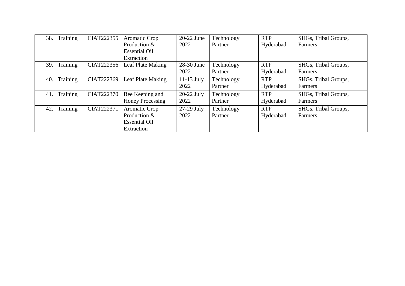| 38. | Training | CIAT222355 | Aromatic Crop           | $20-22$ June | Technology | <b>RTP</b> | SHGs, Tribal Groups, |
|-----|----------|------------|-------------------------|--------------|------------|------------|----------------------|
|     |          |            | Production &            | 2022         | Partner    | Hyderabad  | Farmers              |
|     |          |            | <b>Essential Oil</b>    |              |            |            |                      |
|     |          |            | Extraction              |              |            |            |                      |
| 39. | Training | CIAT222356 | Leaf Plate Making       | 28-30 June   | Technology | <b>RTP</b> | SHGs, Tribal Groups, |
|     |          |            |                         | 2022         | Partner    | Hyderabad  | Farmers              |
| 40. | Training | CIAT222369 | Leaf Plate Making       | $11-13$ July | Technology | <b>RTP</b> | SHGs, Tribal Groups, |
|     |          |            |                         | 2022         | Partner    | Hyderabad  | Farmers              |
| 41  | Training | CIAT222370 | Bee Keeping and         | $20-22$ July | Technology | <b>RTP</b> | SHGs, Tribal Groups, |
|     |          |            | <b>Honey Processing</b> | 2022         | Partner    | Hyderabad  | Farmers              |
| 42. | Training | CIAT222371 | Aromatic Crop           | $27-29$ July | Technology | <b>RTP</b> | SHGs, Tribal Groups, |
|     |          |            | Production &            | 2022         | Partner    | Hyderabad  | Farmers              |
|     |          |            | <b>Essential Oil</b>    |              |            |            |                      |
|     |          |            | Extraction              |              |            |            |                      |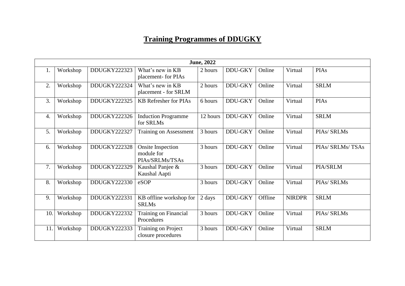## **Training Programmes of DDUGKY**

|     | <b>June</b> , 2022 |              |                                                           |          |                |         |               |                   |  |  |  |
|-----|--------------------|--------------|-----------------------------------------------------------|----------|----------------|---------|---------------|-------------------|--|--|--|
| 1.  | Workshop           | DDUGKY222323 | What's new in KB<br>placement- for PIAs                   | 2 hours  | <b>DDU-GKY</b> | Online  | Virtual       | <b>PIAs</b>       |  |  |  |
| 2.  | Workshop           | DDUGKY222324 | What's new in KB<br>placement - for SRLM                  | 2 hours  | <b>DDU-GKY</b> | Online  | Virtual       | <b>SRLM</b>       |  |  |  |
| 3.  | Workshop           | DDUGKY222325 | <b>KB</b> Refresher for PIAs                              | 6 hours  | <b>DDU-GKY</b> | Online  | Virtual       | <b>PIAs</b>       |  |  |  |
| 4.  | Workshop           | DDUGKY222326 | <b>Induction Programme</b><br>for SRLMs                   | 12 hours | <b>DDU-GKY</b> | Online  | Virtual       | <b>SRLM</b>       |  |  |  |
| 5.  | Workshop           | DDUGKY222327 | Training on Assessment                                    | 3 hours  | <b>DDU-GKY</b> | Online  | Virtual       | PIAs/ SRLMs       |  |  |  |
| 6.  | Workshop           | DDUGKY222328 | <b>Onsite Inspection</b><br>module for<br>PIAs/SRLMs/TSAs | 3 hours  | <b>DDU-GKY</b> | Online  | Virtual       | PIAS/ SRLMs/ TSAs |  |  |  |
| 7.  | Workshop           | DDUGKY222329 | Kaushal Panjee &<br>Kaushal Aapti                         | 3 hours  | <b>DDU-GKY</b> | Online  | Virtual       | PIA/SRLM          |  |  |  |
| 8.  | Workshop           | DDUGKY222330 | eSOP                                                      | 3 hours  | <b>DDU-GKY</b> | Online  | Virtual       | PIAs/ SRLMs       |  |  |  |
| 9.  | Workshop           | DDUGKY222331 | KB offline workshop for<br><b>SRLMs</b>                   | 2 days   | <b>DDU-GKY</b> | Offline | <b>NIRDPR</b> | <b>SRLM</b>       |  |  |  |
| 10. | Workshop           | DDUGKY222332 | Training on Financial<br>Procedures                       | 3 hours  | <b>DDU-GKY</b> | Online  | Virtual       | PIAs/ SRLMs       |  |  |  |
| 11. | Workshop           | DDUGKY222333 | <b>Training on Project</b><br>closure procedures          | 3 hours  | <b>DDU-GKY</b> | Online  | Virtual       | <b>SRLM</b>       |  |  |  |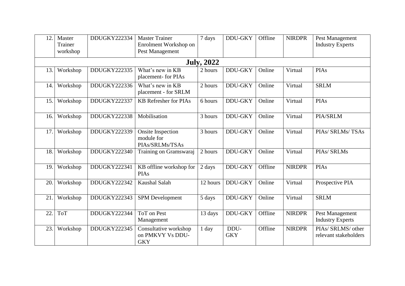| 12. | Master<br>Trainer<br>workshop | DDUGKY222334 | <b>Master Trainer</b><br>Enrolment Workshop on<br>Pest Management | 7 days            | <b>DDU-GKY</b>     | Offline | <b>NIRDPR</b>         | Pest Management<br><b>Industry Experts</b>  |
|-----|-------------------------------|--------------|-------------------------------------------------------------------|-------------------|--------------------|---------|-----------------------|---------------------------------------------|
|     |                               |              |                                                                   | <b>July, 2022</b> |                    |         |                       |                                             |
| 13. | Workshop                      | DDUGKY222335 | What's new in KB<br>placement- for PIAs                           | 2 hours           | <b>DDU-GKY</b>     | Online  | Virtual               | <b>PIAs</b>                                 |
| 14. | Workshop                      | DDUGKY222336 | What's new in KB<br>placement - for SRLM                          | 2 hours           | <b>DDU-GKY</b>     | Online  | Virtual               | <b>SRLM</b>                                 |
| 15. | Workshop                      | DDUGKY222337 | <b>KB</b> Refresher for PIAs                                      | 6 hours           | <b>DDU-GKY</b>     | Online  | Virtual               | <b>PIAs</b>                                 |
| 16. | Workshop                      | DDUGKY222338 | Mobilisation                                                      | 3 hours           | <b>DDU-GKY</b>     | Online  | Virtual               | PIA/SRLM                                    |
| 17. | Workshop                      | DDUGKY222339 | <b>Onsite Inspection</b><br>module for<br>PIAs/SRLMs/TSAs         | 3 hours           | <b>DDU-GKY</b>     | Online  | Virtual               | PIAS/ SRLMs/ TSAs                           |
| 18. | Workshop                      | DDUGKY222340 | Training on Gramswaraj                                            | 2 hours           | <b>DDU-GKY</b>     | Online  | Virtual               | PIAs/ SRLMs                                 |
| 19. | Workshop                      | DDUGKY222341 | KB offline workshop for<br><b>PIAs</b>                            | 2 days            | <b>DDU-GKY</b>     | Offline | <b>NIRDPR</b>         | <b>PIAs</b>                                 |
| 20. | Workshop                      | DDUGKY222342 | Kaushal Salah                                                     | 12 hours          | <b>DDU-GKY</b>     | Online  | $\overline{V}$ irtual | Prospective PIA                             |
| 21. | Workshop                      | DDUGKY222343 | <b>SPM</b> Development                                            | 5 days            | <b>DDU-GKY</b>     | Online  | Virtual               | <b>SRLM</b>                                 |
| 22. | <b>ToT</b>                    | DDUGKY222344 | <b>ToT</b> on Pest<br>Management                                  | 13 days           | <b>DDU-GKY</b>     | Offline | <b>NIRDPR</b>         | Pest Management<br><b>Industry Experts</b>  |
| 23. | Workshop                      | DDUGKY222345 | Consultative workshop<br>on PMKVY Vs DDU-<br><b>GKY</b>           | $1$ day           | DDU-<br><b>GKY</b> | Offline | <b>NIRDPR</b>         | PIAs/ SRLMS/ other<br>relevant stakeholders |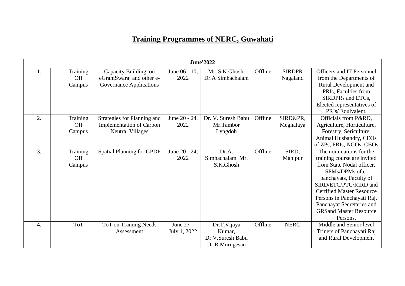# **Training Programmes of NERC, Guwahati**

|                  | <b>June'2022</b>          |                                                                                           |                            |                                                             |         |                           |                                                                                                                                                                                                                                                                                                       |  |  |  |  |
|------------------|---------------------------|-------------------------------------------------------------------------------------------|----------------------------|-------------------------------------------------------------|---------|---------------------------|-------------------------------------------------------------------------------------------------------------------------------------------------------------------------------------------------------------------------------------------------------------------------------------------------------|--|--|--|--|
| 1.               | Training<br>Off<br>Campus | Capacity Building on<br>eGramSwaraj and other e-<br><b>Governance Applications</b>        | June 06 - 10,<br>2022      | Mr. S.K Ghosh,<br>Dr.A Simhachalam                          | Offline | <b>SIRDPR</b><br>Nagaland | Officers and IT Personnel<br>from the Departments of<br>Rural Development and<br>PRIs, Faculties from<br>SIRDPRs and ETCs,<br>Elected representatives of<br>PRIs/Equivalent.                                                                                                                          |  |  |  |  |
| 2.               | Training<br>Off<br>Campus | Strategies for Planning and<br><b>Implementation of Carbon</b><br><b>Neutral Villages</b> | June 20 - 24,<br>2022      | Dr. V. Suresh Babu<br>Mr.Tambor<br>Lyngdoh                  | Offline | SIRD&PR,<br>Meghalaya     | Officials from P&RD,<br>Agriculture, Horticulture,<br>Forestry, Sericulture,<br>Animal Husbandry, CEOs<br>of ZPs, PRIs, NGOs, CBOs                                                                                                                                                                    |  |  |  |  |
| $\overline{3}$ . | Training<br>Off<br>Campus | <b>Spatial Planning for GPDP</b>                                                          | June 20 - 24,<br>2022      | Dr.A.<br>Simhachalam Mr.<br>S.K.Ghosh                       | Offline | SIRD,<br>Manipur          | The nominations for the<br>training course are invited<br>from State Nodal officer,<br>SPMs/DPMs of e-<br>panchayats, Faculty of<br>SIRD/ETC/PTC/RIRD and<br><b>Certified Master Resource</b><br>Persons in Panchayati Raj,<br>Panchayat Secretaries and<br><b>GRSand Master Resource</b><br>Persons. |  |  |  |  |
| 4.               | <b>ToT</b>                | ToT on Training Needs<br>Assessment                                                       | June $27-$<br>July 1, 2022 | Dr.T.Vijaya<br>Kumar,<br>Dr.V.Suresh Babu<br>Dr.R.Murugesan | Offline | <b>NERC</b>               | Middle and Senior level<br>Triners of Panchayati Raj<br>and Rural Development                                                                                                                                                                                                                         |  |  |  |  |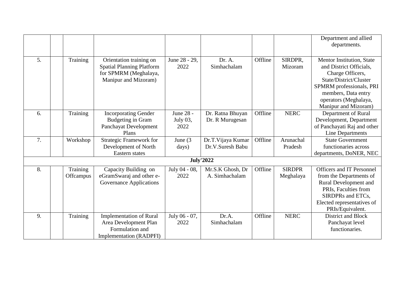|    |                  |                                  |               |                    |         |               | Department and allied       |
|----|------------------|----------------------------------|---------------|--------------------|---------|---------------|-----------------------------|
|    |                  |                                  |               |                    |         |               | departments.                |
|    |                  |                                  |               |                    |         |               |                             |
| 5. | Training         | Orientation training on          | June 28 - 29, | Dr. A.             | Offline | SIRDPR,       | Mentor Institution, State   |
|    |                  | <b>Spatial Planning Platform</b> | 2022          | Simhachalam        |         | Mizoram       | and District Officials,     |
|    |                  | for SPMRM (Meghalaya,            |               |                    |         |               | Charge Officers,            |
|    |                  | Manipur and Mizoram)             |               |                    |         |               | State/District/Cluster      |
|    |                  |                                  |               |                    |         |               | SPMRM professionals, PRI    |
|    |                  |                                  |               |                    |         |               | members, Data entry         |
|    |                  |                                  |               |                    |         |               | operators (Meghalaya,       |
|    |                  |                                  |               |                    |         |               | Manipur and Mizoram)        |
| 6. | Training         | <b>Incorporating Gender</b>      | June 28 -     | Dr. Ratna Bhuyan   | Offline | <b>NERC</b>   | Department of Rural         |
|    |                  | <b>Budgeting in Gram</b>         | July 03,      | Dr. R Murugesan    |         |               | Development, Department     |
|    |                  | Panchayat Development            | 2022          |                    |         |               | of Panchayati Raj and other |
|    |                  | Plans                            |               |                    |         |               | Line Departments            |
| 7. | Workshop         | <b>Strategic Framework for</b>   | June $(3)$    | Dr.T. Vijaya Kumar | Offline | Arunachal     | <b>State Government</b>     |
|    |                  | Development of North             | days)         | Dr.V.Suresh Babu   |         | Pradesh       | functionaries across        |
|    |                  | Eastern states                   |               |                    |         |               | departments, DoNER, NEC     |
|    |                  |                                  |               | <b>July'2022</b>   |         |               |                             |
| 8. | Training         | Capacity Building on             | July 04 - 08, | Mr.S.K Ghosh, Dr   | Offline | <b>SIRDPR</b> | Officers and IT Personnel   |
|    | <b>Offcampus</b> | eGramSwaraj and other e-         | 2022          | A. Simhachalam     |         | Meghalaya     | from the Departments of     |
|    |                  | <b>Governance Applications</b>   |               |                    |         |               | Rural Development and       |
|    |                  |                                  |               |                    |         |               | PRIs, Faculties from        |
|    |                  |                                  |               |                    |         |               | SIRDPRs and ETCs,           |
|    |                  |                                  |               |                    |         |               | Elected representatives of  |
|    |                  |                                  |               |                    |         |               | PRIs/Equivalent.            |
| 9. | Training         | <b>Implementation of Rural</b>   | July 06 - 07, | Dr.A.              | Offline | <b>NERC</b>   | <b>District and Block</b>   |
|    |                  | Area Development Plan            | 2022          | Simhachalam        |         |               | Panchayat level             |
|    |                  | Formulation and                  |               |                    |         |               | functionaries.              |
|    |                  | <b>Implementation (RADPFI)</b>   |               |                    |         |               |                             |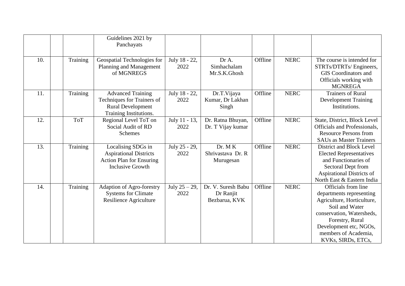|     |            | Guidelines 2021 by<br>Panchayats                                                                                  |                          |                                                  |         |             |                                                                                                                                                                                                                         |
|-----|------------|-------------------------------------------------------------------------------------------------------------------|--------------------------|--------------------------------------------------|---------|-------------|-------------------------------------------------------------------------------------------------------------------------------------------------------------------------------------------------------------------------|
| 10. | Training   | Geospatial Technologies for<br>Planning and Management<br>of MGNREGS                                              | July 18 - 22,<br>2022    | Dr A.<br>Simhachalam<br>Mr.S.K.Ghosh             | Offline | <b>NERC</b> | The course is intended for<br>STRTs/DTRTs/Engineers,<br><b>GIS</b> Coordinators and<br>Officials working with<br><b>MGNREGA</b>                                                                                         |
| 11. | Training   | <b>Advanced Training</b><br>Techniques for Trainers of<br><b>Rural Development</b><br>Training Institutions.      | July 18 - 22,<br>2022    | Dr.T.Vijaya<br>Kumar, Dr Lakhan<br>Singh         | Offline | <b>NERC</b> | <b>Trainers of Rural</b><br><b>Development Training</b><br>Institutions.                                                                                                                                                |
| 12. | <b>ToT</b> | Regional Level ToT on<br>Social Audit of RD<br>Schemes                                                            | July 11 - 13,<br>2022    | Dr. Ratna Bhuyan,<br>Dr. T Vijay kumar           | Offline | <b>NERC</b> | State, District, Block Level<br>Officials and Professionals,<br><b>Resource Persons from</b><br><b>SAUs as Master Trainers</b>                                                                                          |
| 13. | Training   | Localising SDGs in<br><b>Aspirational Districts</b><br><b>Action Plan for Ensuring</b><br><b>Inclusive Growth</b> | July 25 - 29,<br>2022    | Dr. MK<br>Shrivastava Dr. R<br>Murugesan         | Offline | <b>NERC</b> | <b>District and Block Level</b><br><b>Elected Representatives</b><br>and Functionaries of<br>Sectoral Dept from<br>Aspirational Districts of<br>North East & Eastern India                                              |
| 14. | Training   | Adaption of Agro-forestry<br><b>Systems for Climate</b><br>Resilience Agriculture                                 | July $25 - 29$ ,<br>2022 | Dr. V. Suresh Babu<br>Dr Ranjit<br>Bezbarua, KVK | Offline | <b>NERC</b> | Officials from line<br>departments representing<br>Agriculture, Horticulture,<br>Soil and Water<br>conservation, Watersheds,<br>Forestry, Rural<br>Development etc, NGOs,<br>members of Academia,<br>KVKs, SIRDs, ETCs, |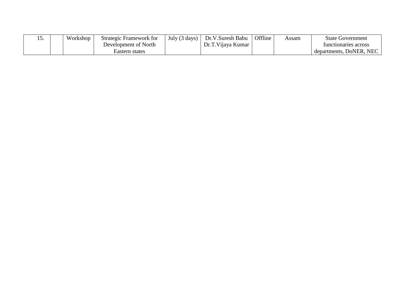| 1J. | Workshop | Strategic Framework for | July $(3 \text{ days})$ | Dr.V.Suresh Babu  | Offline | Assam | <b>State Government</b> |
|-----|----------|-------------------------|-------------------------|-------------------|---------|-------|-------------------------|
|     |          | Development of North    |                         | Dr.T.Vijaya Kumar |         |       | functionaries across    |
|     |          | Eastern states          |                         |                   |         |       | departments, DoNER, NEC |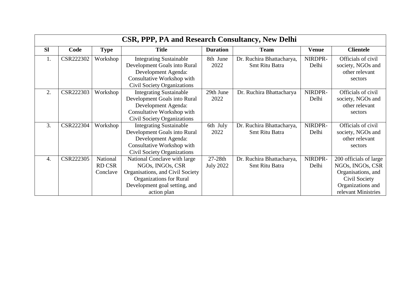| CSR, PPP, PA and Research Consultancy, New Delhi |           |               |                                    |                  |                           |              |                        |  |  |
|--------------------------------------------------|-----------|---------------|------------------------------------|------------------|---------------------------|--------------|------------------------|--|--|
| <b>SI</b>                                        | Code      | <b>Type</b>   | <b>Title</b>                       | <b>Duration</b>  | <b>Team</b>               | <b>Venue</b> | <b>Clientele</b>       |  |  |
| 1.                                               | CSR222302 | Workshop      | <b>Integrating Sustainable</b>     | 8th June         | Dr. Ruchira Bhattacharya, | NIRDPR-      | Officials of civil     |  |  |
|                                                  |           |               | Development Goals into Rural       | 2022             | Smt Ritu Batra            | Delhi        | society, NGOs and      |  |  |
|                                                  |           |               | Development Agenda:                |                  |                           |              | other relevant         |  |  |
|                                                  |           |               | Consultative Workshop with         |                  |                           |              | sectors                |  |  |
|                                                  |           |               | <b>Civil Society Organizations</b> |                  |                           |              |                        |  |  |
| $\overline{2}$ .                                 | CSR222303 | Workshop      | <b>Integrating Sustainable</b>     | 29th June        | Dr. Ruchira Bhattacharya  | NIRDPR-      | Officials of civil     |  |  |
|                                                  |           |               | Development Goals into Rural       | 2022             |                           | Delhi        | society, NGOs and      |  |  |
|                                                  |           |               | Development Agenda:                |                  |                           |              | other relevant         |  |  |
|                                                  |           |               | Consultative Workshop with         |                  |                           |              | sectors                |  |  |
|                                                  |           |               | <b>Civil Society Organizations</b> |                  |                           |              |                        |  |  |
| 3.                                               | CSR222304 | Workshop      | <b>Integrating Sustainable</b>     | 6th July         | Dr. Ruchira Bhattacharya, | NIRDPR-      | Officials of civil     |  |  |
|                                                  |           |               | Development Goals into Rural       | 2022             | Smt Ritu Batra            | Delhi        | society, NGOs and      |  |  |
|                                                  |           |               | Development Agenda:                |                  |                           |              | other relevant         |  |  |
|                                                  |           |               | Consultative Workshop with         |                  |                           |              | sectors                |  |  |
|                                                  |           |               | <b>Civil Society Organizations</b> |                  |                           |              |                        |  |  |
| $\overline{4}$ .                                 | CSR222305 | National      | National Conclave with large       | 27-28th          | Dr. Ruchira Bhattacharya, | NIRDPR-      | 200 officials of large |  |  |
|                                                  |           | <b>RD CSR</b> | NGOs, INGOs, CSR                   | <b>July 2022</b> | Smt Ritu Batra            | Delhi        | NGOs, INGOs, CSR       |  |  |
|                                                  |           | Conclave      | Organisations, and Civil Society   |                  |                           |              | Organisations, and     |  |  |
|                                                  |           |               | <b>Organizations</b> for Rural     |                  |                           |              | Civil Society          |  |  |
|                                                  |           |               | Development goal setting, and      |                  |                           |              | Organizations and      |  |  |
|                                                  |           |               | action plan                        |                  |                           |              | relevant Ministries    |  |  |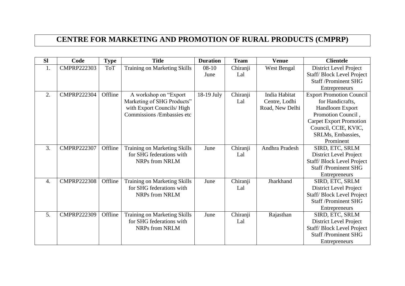# **CENTRE FOR MARKETING AND PROMOTION OF RURAL PRODUCTS (CMPRP)**

| <b>Sl</b> | Code               | <b>Type</b> | <b>Title</b>                        | <b>Duration</b> | <b>Team</b> | <b>Venue</b>    | <b>Clientele</b>                |
|-----------|--------------------|-------------|-------------------------------------|-----------------|-------------|-----------------|---------------------------------|
| 1.        | <b>CMPRP222303</b> | <b>ToT</b>  | Training on Marketing Skills        | $08-10$         | Chiranji    | West Bengal     | District Level Project          |
|           |                    |             |                                     | June            | Lal         |                 | Staff/Block Level Project       |
|           |                    |             |                                     |                 |             |                 | <b>Staff /Prominent SHG</b>     |
|           |                    |             |                                     |                 |             |                 | Entrepreneurs                   |
| 2.        | <b>CMPRP222304</b> | Offline     | A workshop on "Export               | 18-19 July      | Chiranji    | India Habitat   | <b>Export Promotion Council</b> |
|           |                    |             | Marketing of SHG Products"          |                 | Lal         | Centre, Lodhi   | for Handicrafts,                |
|           |                    |             | with Export Councils/High           |                 |             | Road, New Delhi | Handloom Export                 |
|           |                    |             | Commissions /Embassies etc          |                 |             |                 | Promotion Council,              |
|           |                    |             |                                     |                 |             |                 | <b>Carpet Export Promotion</b>  |
|           |                    |             |                                     |                 |             |                 | Council, CCIE, KVIC,            |
|           |                    |             |                                     |                 |             |                 | SRLMs, Embassies,               |
|           |                    |             |                                     |                 |             |                 | Prominent                       |
| 3.        | <b>CMPRP222307</b> | Offline     | <b>Training on Marketing Skills</b> | June            | Chiranji    | Andhra Pradesh  | SIRD, ETC, SRLM                 |
|           |                    |             | for SHG federations with            |                 | Lal         |                 | District Level Project          |
|           |                    |             | NRPs from NRLM                      |                 |             |                 | Staff/Block Level Project       |
|           |                    |             |                                     |                 |             |                 | <b>Staff /Prominent SHG</b>     |
|           |                    |             |                                     |                 |             |                 | Entrepreneurs                   |
| 4.        | <b>CMPRP222308</b> | Offline     | <b>Training on Marketing Skills</b> | June            | Chiranji    | Jharkhand       | SIRD, ETC, SRLM                 |
|           |                    |             | for SHG federations with            |                 | Lal         |                 | District Level Project          |
|           |                    |             | NRPs from NRLM                      |                 |             |                 | Staff/Block Level Project       |
|           |                    |             |                                     |                 |             |                 | <b>Staff /Prominent SHG</b>     |
|           |                    |             |                                     |                 |             |                 | <b>Entrepreneurs</b>            |
| 5.        | <b>CMPRP222309</b> | Offline     | Training on Marketing Skills        | June            | Chiranji    | Rajasthan       | SIRD, ETC, SRLM                 |
|           |                    |             | for SHG federations with            |                 | Lal         |                 | District Level Project          |
|           |                    |             | <b>NRPs from NRLM</b>               |                 |             |                 | Staff/Block Level Project       |
|           |                    |             |                                     |                 |             |                 | <b>Staff /Prominent SHG</b>     |
|           |                    |             |                                     |                 |             |                 | Entrepreneurs                   |